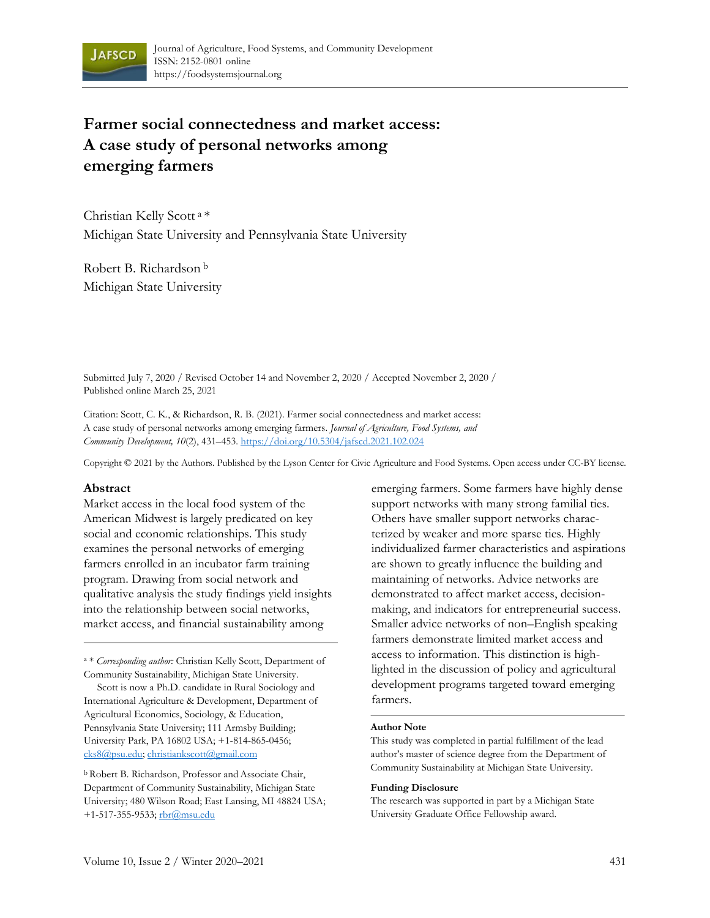

# **Farmer social connectedness and market access: A case study of personal networks among emerging farmers**

Christian Kelly Scott <sup>a</sup>\* Michigan State University and Pennsylvania State University

Robert B. Richardson <sup>b</sup> Michigan State University

Submitted July 7, 2020 / Revised October 14 and November 2, 2020 / Accepted November 2, 2020 / Published online March 25, 2021

Citation: Scott, C. K., & Richardson, R. B. (2021). Farmer social connectedness and market access: A case study of personal networks among emerging farmers. *Journal of Agriculture, Food Systems, and Community Development, 10*(2), 431–453. https://doi.org/10.5304/jafscd.2021.102.024

Copyright © 2021 by the Authors. Published by the Lyson Center for Civic Agriculture and Food Systems. Open access under CC-BY license.

#### **Abstract**

Market access in the local food system of the American Midwest is largely predicated on key social and economic relationships. This study examines the personal networks of emerging farmers enrolled in an incubator farm training program. Drawing from social network and qualitative analysis the study findings yield insights into the relationship between social networks, market access, and financial sustainability among

<sup>a</sup> \* *Corresponding author:* Christian Kelly Scott, Department of Community Sustainability, Michigan State University.

Scott is now a Ph.D. candidate in Rural Sociology and International Agriculture & Development, Department of Agricultural Economics, Sociology, & Education, Pennsylvania State University; 111 Armsby Building; University Park, PA 16802 USA; +1-814-865-0456; cks8@psu.edu; christiankscott@gmail.com

<sup>b</sup> Robert B. Richardson, Professor and Associate Chair, Department of Community Sustainability, Michigan State University; 480 Wilson Road; East Lansing, MI 48824 USA; +1-517-355-9533; rbr@msu.edu

emerging farmers. Some farmers have highly dense support networks with many strong familial ties. Others have smaller support networks characterized by weaker and more sparse ties. Highly individualized farmer characteristics and aspirations are shown to greatly influence the building and maintaining of networks. Advice networks are demonstrated to affect market access, decisionmaking, and indicators for entrepreneurial success. Smaller advice networks of non–English speaking farmers demonstrate limited market access and access to information. This distinction is highlighted in the discussion of policy and agricultural development programs targeted toward emerging farmers.

#### **Author Note**

This study was completed in partial fulfillment of the lead author's master of science degree from the Department of Community Sustainability at Michigan State University.

#### **Funding Disclosure**

The research was supported in part by a Michigan State University Graduate Office Fellowship award.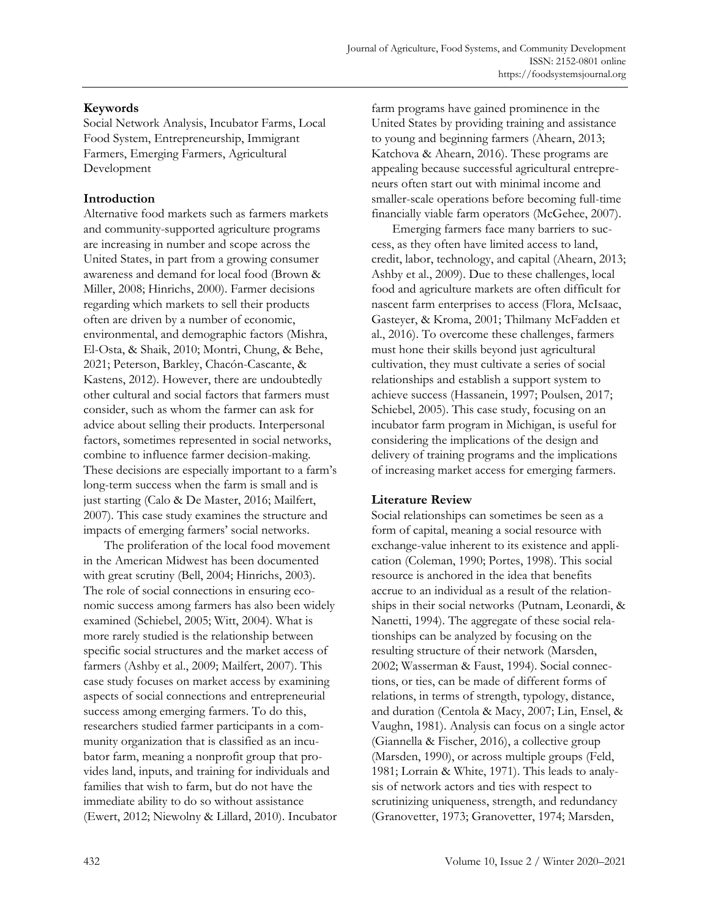# **Keywords**

Social Network Analysis, Incubator Farms, Local Food System, Entrepreneurship, Immigrant Farmers, Emerging Farmers, Agricultural Development

# **Introduction**

Alternative food markets such as farmers markets and community-supported agriculture programs are increasing in number and scope across the United States, in part from a growing consumer awareness and demand for local food (Brown & Miller, 2008; Hinrichs, 2000). Farmer decisions regarding which markets to sell their products often are driven by a number of economic, environmental, and demographic factors (Mishra, El-Osta, & Shaik, 2010; Montri, Chung, & Behe, 2021; Peterson, Barkley, Chacón-Cascante, & Kastens, 2012). However, there are undoubtedly other cultural and social factors that farmers must consider, such as whom the farmer can ask for advice about selling their products. Interpersonal factors, sometimes represented in social networks, combine to influence farmer decision-making. These decisions are especially important to a farm's long-term success when the farm is small and is just starting (Calo & De Master, 2016; Mailfert, 2007). This case study examines the structure and impacts of emerging farmers' social networks.

The proliferation of the local food movement in the American Midwest has been documented with great scrutiny (Bell, 2004; Hinrichs, 2003). The role of social connections in ensuring economic success among farmers has also been widely examined (Schiebel, 2005; Witt, 2004). What is more rarely studied is the relationship between specific social structures and the market access of farmers (Ashby et al., 2009; Mailfert, 2007). This case study focuses on market access by examining aspects of social connections and entrepreneurial success among emerging farmers. To do this, researchers studied farmer participants in a community organization that is classified as an incubator farm, meaning a nonprofit group that provides land, inputs, and training for individuals and families that wish to farm, but do not have the immediate ability to do so without assistance (Ewert, 2012; Niewolny & Lillard, 2010). Incubator farm programs have gained prominence in the United States by providing training and assistance to young and beginning farmers (Ahearn, 2013; Katchova & Ahearn, 2016). These programs are appealing because successful agricultural entrepreneurs often start out with minimal income and smaller-scale operations before becoming full-time financially viable farm operators (McGehee, 2007).

Emerging farmers face many barriers to success, as they often have limited access to land, credit, labor, technology, and capital (Ahearn, 2013; Ashby et al., 2009). Due to these challenges, local food and agriculture markets are often difficult for nascent farm enterprises to access (Flora, McIsaac, Gasteyer, & Kroma, 2001; Thilmany McFadden et al., 2016). To overcome these challenges, farmers must hone their skills beyond just agricultural cultivation, they must cultivate a series of social relationships and establish a support system to achieve success (Hassanein, 1997; Poulsen, 2017; Schiebel, 2005). This case study, focusing on an incubator farm program in Michigan, is useful for considering the implications of the design and delivery of training programs and the implications of increasing market access for emerging farmers.

# **Literature Review**

Social relationships can sometimes be seen as a form of capital, meaning a social resource with exchange-value inherent to its existence and application (Coleman, 1990; Portes, 1998). This social resource is anchored in the idea that benefits accrue to an individual as a result of the relationships in their social networks (Putnam, Leonardi, & Nanetti, 1994). The aggregate of these social relationships can be analyzed by focusing on the resulting structure of their network (Marsden, 2002; Wasserman & Faust, 1994). Social connections, or ties, can be made of different forms of relations, in terms of strength, typology, distance, and duration (Centola & Macy, 2007; Lin, Ensel, & Vaughn, 1981). Analysis can focus on a single actor (Giannella & Fischer, 2016), a collective group (Marsden, 1990), or across multiple groups (Feld, 1981; Lorrain & White, 1971). This leads to analysis of network actors and ties with respect to scrutinizing uniqueness, strength, and redundancy (Granovetter, 1973; Granovetter, 1974; Marsden,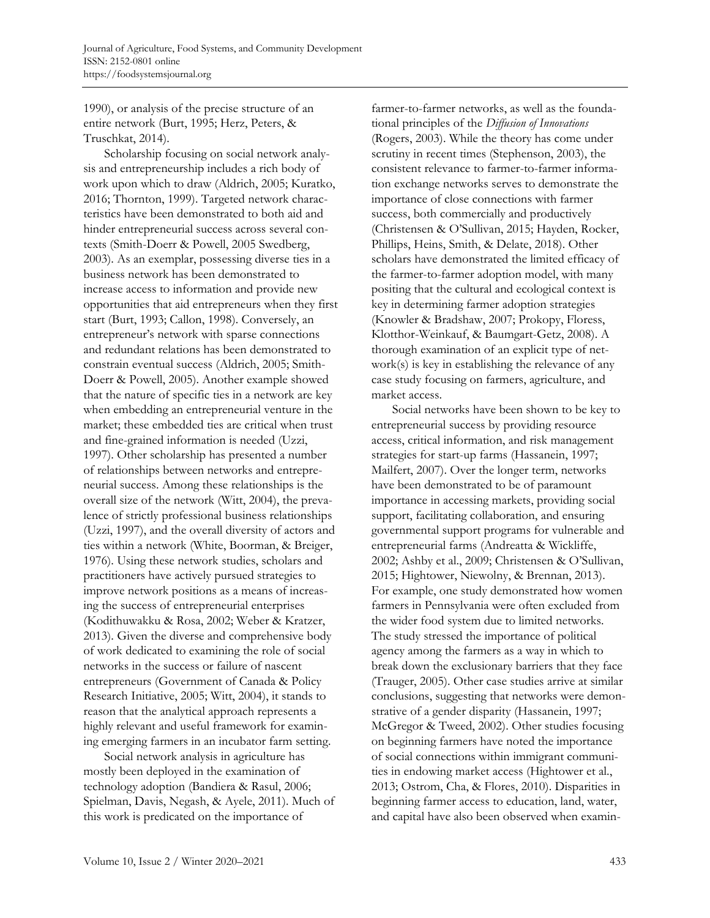1990), or analysis of the precise structure of an entire network (Burt, 1995; Herz, Peters, & Truschkat, 2014).

Scholarship focusing on social network analysis and entrepreneurship includes a rich body of work upon which to draw (Aldrich, 2005; Kuratko, 2016; Thornton, 1999). Targeted network characteristics have been demonstrated to both aid and hinder entrepreneurial success across several contexts (Smith-Doerr & Powell, 2005 Swedberg, 2003). As an exemplar, possessing diverse ties in a business network has been demonstrated to increase access to information and provide new opportunities that aid entrepreneurs when they first start (Burt, 1993; Callon, 1998). Conversely, an entrepreneur's network with sparse connections and redundant relations has been demonstrated to constrain eventual success (Aldrich, 2005; Smith-Doerr & Powell, 2005). Another example showed that the nature of specific ties in a network are key when embedding an entrepreneurial venture in the market; these embedded ties are critical when trust and fine-grained information is needed (Uzzi, 1997). Other scholarship has presented a number of relationships between networks and entrepreneurial success. Among these relationships is the overall size of the network (Witt, 2004), the prevalence of strictly professional business relationships (Uzzi, 1997), and the overall diversity of actors and ties within a network (White, Boorman, & Breiger, 1976). Using these network studies, scholars and practitioners have actively pursued strategies to improve network positions as a means of increasing the success of entrepreneurial enterprises (Kodithuwakku & Rosa, 2002; Weber & Kratzer, 2013). Given the diverse and comprehensive body of work dedicated to examining the role of social networks in the success or failure of nascent entrepreneurs (Government of Canada & Policy Research Initiative, 2005; Witt, 2004), it stands to reason that the analytical approach represents a highly relevant and useful framework for examining emerging farmers in an incubator farm setting.

Social network analysis in agriculture has mostly been deployed in the examination of technology adoption (Bandiera & Rasul, 2006; Spielman, Davis, Negash, & Ayele, 2011). Much of this work is predicated on the importance of

farmer-to-farmer networks, as well as the foundational principles of the *Diffusion of Innovations*  (Rogers, 2003). While the theory has come under scrutiny in recent times (Stephenson, 2003), the consistent relevance to farmer-to-farmer information exchange networks serves to demonstrate the importance of close connections with farmer success, both commercially and productively (Christensen & O'Sullivan, 2015; Hayden, Rocker, Phillips, Heins, Smith, & Delate, 2018). Other scholars have demonstrated the limited efficacy of the farmer-to-farmer adoption model, with many positing that the cultural and ecological context is key in determining farmer adoption strategies (Knowler & Bradshaw, 2007; Prokopy, Floress, Klotthor-Weinkauf, & Baumgart-Getz, 2008). A thorough examination of an explicit type of network(s) is key in establishing the relevance of any case study focusing on farmers, agriculture, and market access.

Social networks have been shown to be key to entrepreneurial success by providing resource access, critical information, and risk management strategies for start-up farms (Hassanein, 1997; Mailfert, 2007). Over the longer term, networks have been demonstrated to be of paramount importance in accessing markets, providing social support, facilitating collaboration, and ensuring governmental support programs for vulnerable and entrepreneurial farms (Andreatta & Wickliffe, 2002; Ashby et al., 2009; Christensen & O'Sullivan, 2015; Hightower, Niewolny, & Brennan, 2013). For example, one study demonstrated how women farmers in Pennsylvania were often excluded from the wider food system due to limited networks. The study stressed the importance of political agency among the farmers as a way in which to break down the exclusionary barriers that they face (Trauger, 2005). Other case studies arrive at similar conclusions, suggesting that networks were demonstrative of a gender disparity (Hassanein, 1997; McGregor & Tweed, 2002). Other studies focusing on beginning farmers have noted the importance of social connections within immigrant communities in endowing market access (Hightower et al., 2013; Ostrom, Cha, & Flores, 2010). Disparities in beginning farmer access to education, land, water, and capital have also been observed when examin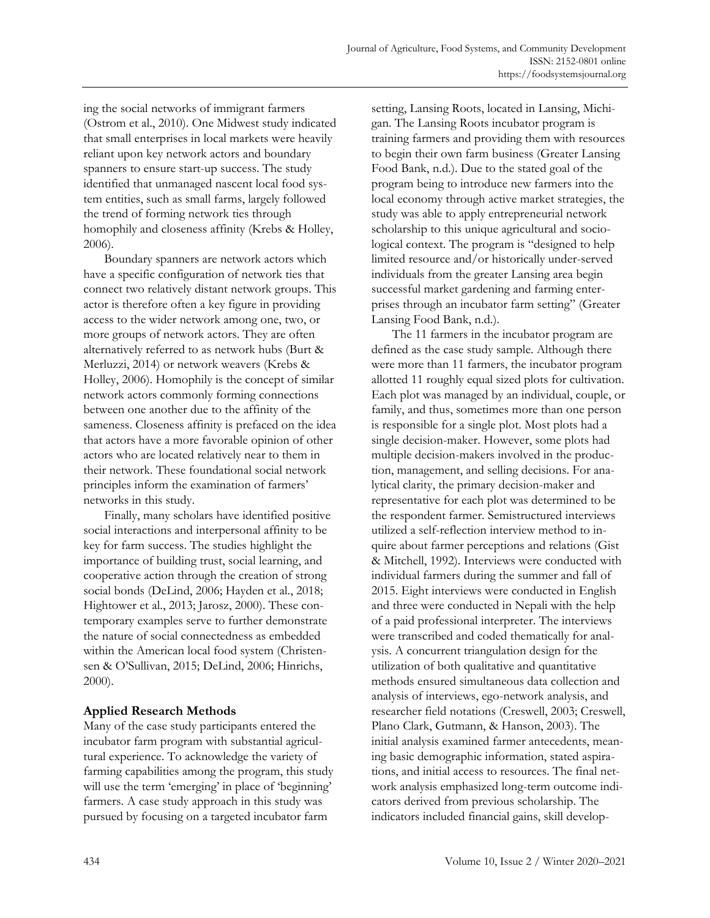ing the social networks of immigrant farmers (Ostrom et al., 2010). One Midwest study indicated that small enterprises in local markets were heavily reliant upon key network actors and boundary spanners to ensure start-up success. The study identified that unmanaged nascent local food system entities, such as small farms, largely followed the trend of forming network ties through homophily and closeness affinity (Krebs & Holley, 2006).

Boundary spanners are network actors which have a specific configuration of network ties that connect two relatively distant network groups. This actor is therefore often a key figure in providing access to the wider network among one, two, or more groups of network actors. They are often alternatively referred to as network hubs (Burt & Merluzzi, 2014) or network weavers (Krebs & Holley, 2006). Homophily is the concept of similar network actors commonly forming connections between one another due to the affinity of the sameness. Closeness affinity is prefaced on the idea that actors have a more favorable opinion of other actors who are located relatively near to them in their network. These foundational social network principles inform the examination of farmers' networks in this study.

Finally, many scholars have identified positive social interactions and interpersonal affinity to be key for farm success. The studies highlight the importance of building trust, social learning, and cooperative action through the creation of strong social bonds (DeLind, 2006; Hayden et al., 2018; Hightower et al., 2013; Jarosz, 2000). These contemporary examples serve to further demonstrate the nature of social connectedness as embedded within the American local food system (Christensen & O'Sullivan, 2015; DeLind, 2006; Hinrichs, 2000).

# **Applied Research Methods**

Many of the case study participants entered the incubator farm program with substantial agricultural experience. To acknowledge the variety of farming capabilities among the program, this study will use the term 'emerging' in place of 'beginning' farmers. A case study approach in this study was pursued by focusing on a targeted incubator farm

setting, Lansing Roots, located in Lansing, Michigan. The Lansing Roots incubator program is training farmers and providing them with resources to begin their own farm business (Greater Lansing Food Bank, n.d.). Due to the stated goal of the program being to introduce new farmers into the local economy through active market strategies, the study was able to apply entrepreneurial network scholarship to this unique agricultural and sociological context. The program is "designed to help limited resource and/or historically under-served individuals from the greater Lansing area begin successful market gardening and farming enterprises through an incubator farm setting" (Greater Lansing Food Bank, n.d.).

The 11 farmers in the incubator program are defined as the case study sample. Although there were more than 11 farmers, the incubator program allotted 11 roughly equal sized plots for cultivation. Each plot was managed by an individual, couple, or family, and thus, sometimes more than one person is responsible for a single plot. Most plots had a single decision-maker. However, some plots had multiple decision-makers involved in the production, management, and selling decisions. For analytical clarity, the primary decision-maker and representative for each plot was determined to be the respondent farmer. Semistructured interviews utilized a self-reflection interview method to inquire about farmer perceptions and relations (Gist & Mitchell, 1992). Interviews were conducted with individual farmers during the summer and fall of 2015. Eight interviews were conducted in English and three were conducted in Nepali with the help of a paid professional interpreter. The interviews were transcribed and coded thematically for analysis. A concurrent triangulation design for the utilization of both qualitative and quantitative methods ensured simultaneous data collection and analysis of interviews, ego-network analysis, and researcher field notations (Creswell, 2003; Creswell, Plano Clark, Gutmann, & Hanson, 2003). The initial analysis examined farmer antecedents, meaning basic demographic information, stated aspirations, and initial access to resources. The final network analysis emphasized long-term outcome indicators derived from previous scholarship. The indicators included financial gains, skill develop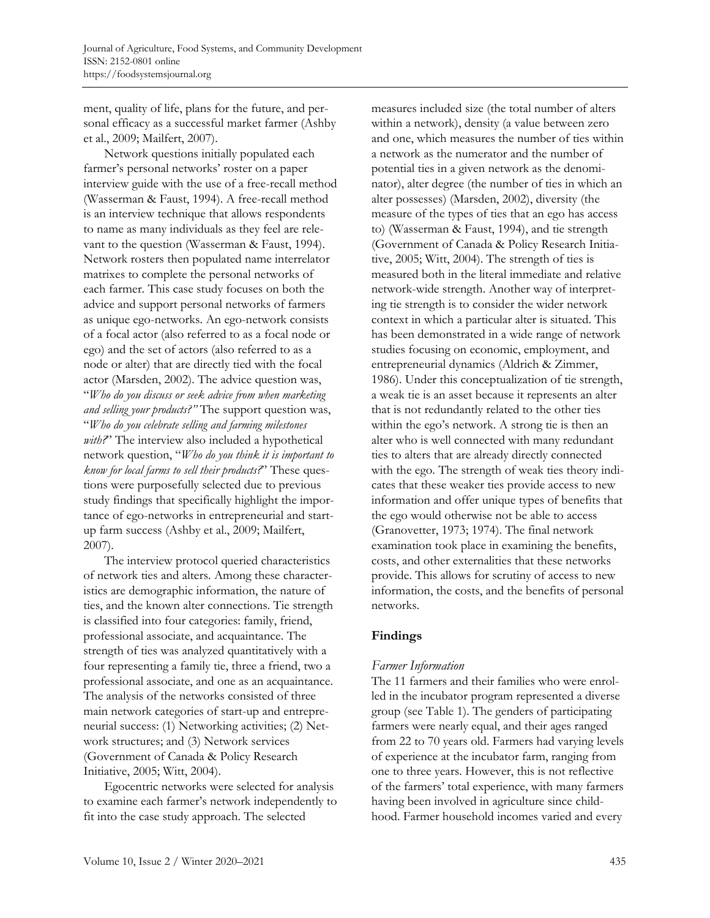ment, quality of life, plans for the future, and personal efficacy as a successful market farmer (Ashby et al., 2009; Mailfert, 2007).

Network questions initially populated each farmer's personal networks' roster on a paper interview guide with the use of a free-recall method (Wasserman & Faust, 1994). A free-recall method is an interview technique that allows respondents to name as many individuals as they feel are relevant to the question (Wasserman & Faust, 1994). Network rosters then populated name interrelator matrixes to complete the personal networks of each farmer. This case study focuses on both the advice and support personal networks of farmers as unique ego-networks. An ego-network consists of a focal actor (also referred to as a focal node or ego) and the set of actors (also referred to as a node or alter) that are directly tied with the focal actor (Marsden, 2002). The advice question was, "*Who do you discuss or seek advice from when marketing and selling your products?"* The support question was, "*Who do you celebrate selling and farming milestones*  with?" The interview also included a hypothetical network question, "*Who do you think it is important to know for local farms to sell their products?*" These questions were purposefully selected due to previous study findings that specifically highlight the importance of ego-networks in entrepreneurial and startup farm success (Ashby et al., 2009; Mailfert, 2007).

The interview protocol queried characteristics of network ties and alters. Among these characteristics are demographic information, the nature of ties, and the known alter connections. Tie strength is classified into four categories: family, friend, professional associate, and acquaintance. The strength of ties was analyzed quantitatively with a four representing a family tie, three a friend, two a professional associate, and one as an acquaintance. The analysis of the networks consisted of three main network categories of start-up and entrepreneurial success: (1) Networking activities; (2) Network structures; and (3) Network services (Government of Canada & Policy Research Initiative, 2005; Witt, 2004).

Egocentric networks were selected for analysis to examine each farmer's network independently to fit into the case study approach. The selected

measures included size (the total number of alters within a network), density (a value between zero and one, which measures the number of ties within a network as the numerator and the number of potential ties in a given network as the denominator), alter degree (the number of ties in which an alter possesses) (Marsden, 2002), diversity (the measure of the types of ties that an ego has access to) (Wasserman & Faust, 1994), and tie strength (Government of Canada & Policy Research Initiative, 2005; Witt, 2004). The strength of ties is measured both in the literal immediate and relative network-wide strength. Another way of interpreting tie strength is to consider the wider network context in which a particular alter is situated. This has been demonstrated in a wide range of network studies focusing on economic, employment, and entrepreneurial dynamics (Aldrich & Zimmer, 1986). Under this conceptualization of tie strength, a weak tie is an asset because it represents an alter that is not redundantly related to the other ties within the ego's network. A strong tie is then an alter who is well connected with many redundant ties to alters that are already directly connected with the ego. The strength of weak ties theory indicates that these weaker ties provide access to new information and offer unique types of benefits that the ego would otherwise not be able to access (Granovetter, 1973; 1974). The final network examination took place in examining the benefits, costs, and other externalities that these networks provide. This allows for scrutiny of access to new information, the costs, and the benefits of personal networks.

# **Findings**

## *Farmer Information*

The 11 farmers and their families who were enrolled in the incubator program represented a diverse group (see Table 1). The genders of participating farmers were nearly equal, and their ages ranged from 22 to 70 years old. Farmers had varying levels of experience at the incubator farm, ranging from one to three years. However, this is not reflective of the farmers' total experience, with many farmers having been involved in agriculture since childhood. Farmer household incomes varied and every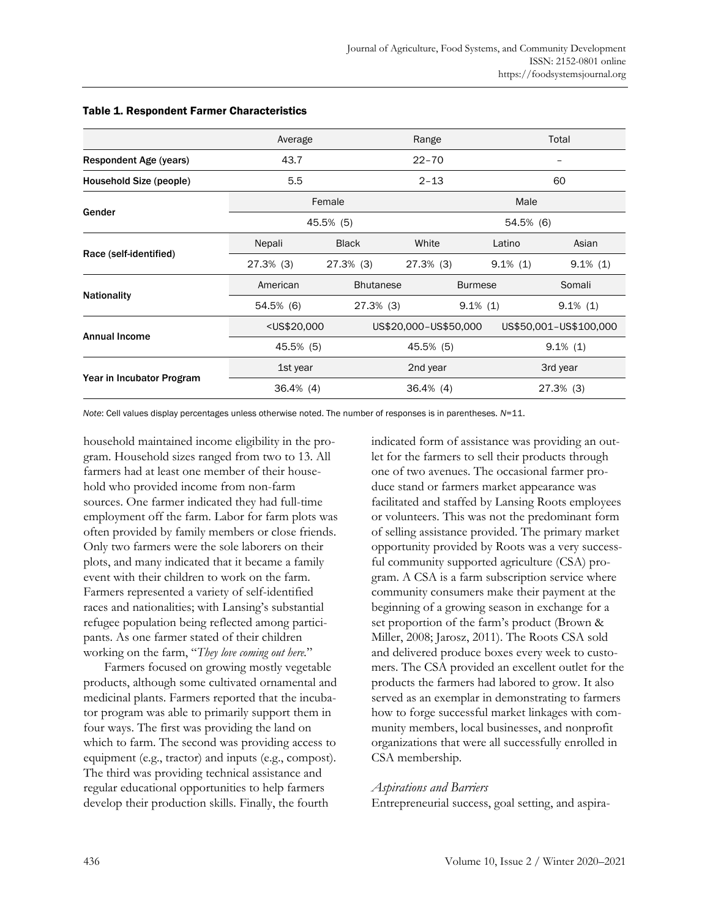|                               | Average                                                                                                                         |                  | Range                 |                | Total                  |  |
|-------------------------------|---------------------------------------------------------------------------------------------------------------------------------|------------------|-----------------------|----------------|------------------------|--|
| <b>Respondent Age (years)</b> | 43.7                                                                                                                            |                  | $22 - 70$             |                |                        |  |
| Household Size (people)       | 5.5                                                                                                                             |                  | $2 - 13$              |                | 60                     |  |
| Gender                        | Female                                                                                                                          |                  | Male                  |                |                        |  |
|                               | 45.5% (5)                                                                                                                       |                  | 54.5% (6)             |                |                        |  |
|                               | Nepali                                                                                                                          | <b>Black</b>     | White                 | Latino         | Asian                  |  |
| Race (self-identified)        | 27.3% (3)                                                                                                                       | 27.3% (3)        | 27.3% (3)             | $9.1\%$ (1)    | $9.1\%$ (1)            |  |
|                               | American                                                                                                                        | <b>Bhutanese</b> |                       | <b>Burmese</b> | Somali                 |  |
| <b>Nationality</b>            | 54.5% (6)                                                                                                                       | $27.3\%$ (3)     |                       | $9.1\%$ (1)    | $9.1\%$ (1)            |  |
|                               | <us\$20,000< th=""><th></th><th colspan="2">US\$20,000-US\$50,000</th><th colspan="2">US\$50,001-US\$100,000</th></us\$20,000<> |                  | US\$20,000-US\$50,000 |                | US\$50,001-US\$100,000 |  |
| <b>Annual Income</b>          | 45.5% (5)                                                                                                                       |                  | 45.5% (5)             |                | $9.1\%$ (1)            |  |
|                               | 1st year                                                                                                                        |                  | 2nd year              |                | 3rd year               |  |
| Year in Incubator Program     | $36.4\%$ (4)                                                                                                                    |                  | $36.4\%$ (4)          |                | 27.3% (3)              |  |

#### Table 1. Respondent Farmer Characteristics

*Note*: Cell values display percentages unless otherwise noted. The number of responses is in parentheses. *N*=11.

household maintained income eligibility in the program. Household sizes ranged from two to 13. All farmers had at least one member of their household who provided income from non-farm sources. One farmer indicated they had full-time employment off the farm. Labor for farm plots was often provided by family members or close friends. Only two farmers were the sole laborers on their plots, and many indicated that it became a family event with their children to work on the farm. Farmers represented a variety of self-identified races and nationalities; with Lansing's substantial refugee population being reflected among participants. As one farmer stated of their children working on the farm, "*They love coming out here.*"

Farmers focused on growing mostly vegetable products, although some cultivated ornamental and medicinal plants. Farmers reported that the incubator program was able to primarily support them in four ways. The first was providing the land on which to farm. The second was providing access to equipment (e.g., tractor) and inputs (e.g., compost). The third was providing technical assistance and regular educational opportunities to help farmers develop their production skills. Finally, the fourth

indicated form of assistance was providing an outlet for the farmers to sell their products through one of two avenues. The occasional farmer produce stand or farmers market appearance was facilitated and staffed by Lansing Roots employees or volunteers. This was not the predominant form of selling assistance provided. The primary market opportunity provided by Roots was a very successful community supported agriculture (CSA) program. A CSA is a farm subscription service where community consumers make their payment at the beginning of a growing season in exchange for a set proportion of the farm's product (Brown & Miller, 2008; Jarosz, 2011). The Roots CSA sold and delivered produce boxes every week to customers. The CSA provided an excellent outlet for the products the farmers had labored to grow. It also served as an exemplar in demonstrating to farmers how to forge successful market linkages with community members, local businesses, and nonprofit organizations that were all successfully enrolled in CSA membership.

#### *Aspirations and Barriers*

Entrepreneurial success, goal setting, and aspira-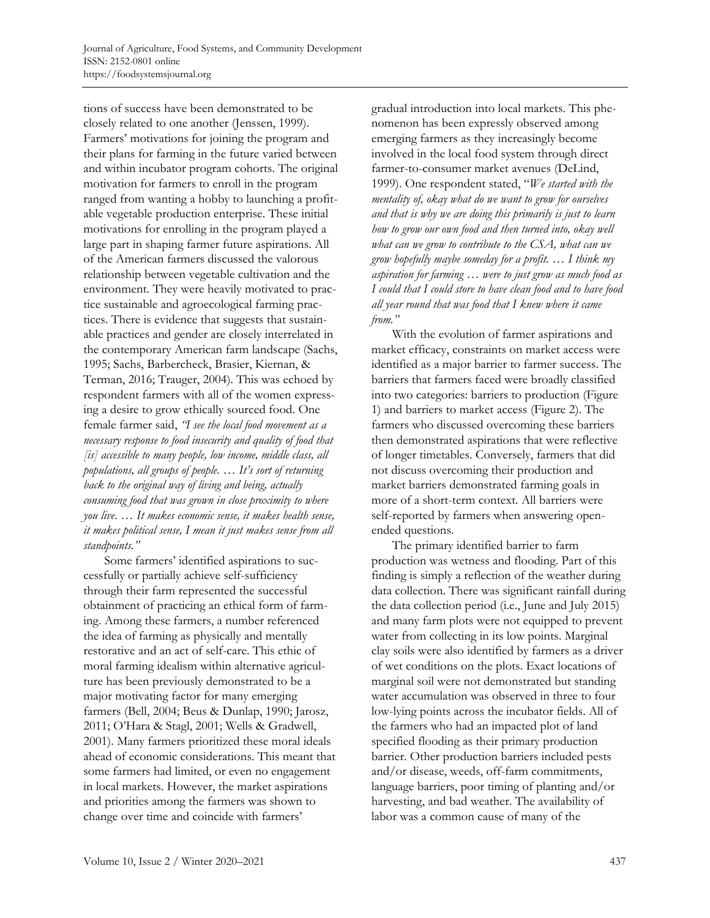tions of success have been demonstrated to be closely related to one another (Jenssen, 1999). Farmers' motivations for joining the program and their plans for farming in the future varied between and within incubator program cohorts. The original motivation for farmers to enroll in the program ranged from wanting a hobby to launching a profitable vegetable production enterprise. These initial motivations for enrolling in the program played a large part in shaping farmer future aspirations. All of the American farmers discussed the valorous relationship between vegetable cultivation and the environment. They were heavily motivated to practice sustainable and agroecological farming practices. There is evidence that suggests that sustainable practices and gender are closely interrelated in the contemporary American farm landscape (Sachs, 1995; Sachs, Barbercheck, Brasier, Kiernan, & Terman, 2016; Trauger, 2004). This was echoed by respondent farmers with all of the women expressing a desire to grow ethically sourced food. One female farmer said, *"I see the local food movement as a necessary response to food insecurity and quality of food that [is] accessible to many people, low income, middle class, all populations, all groups of people. … It's sort of returning back to the original way of living and being, actually consuming food that was grown in close proximity to where you live. … It makes economic sense, it makes health sense, it makes political sense, I mean it just makes sense from all standpoints."*

Some farmers' identified aspirations to successfully or partially achieve self-sufficiency through their farm represented the successful obtainment of practicing an ethical form of farming. Among these farmers, a number referenced the idea of farming as physically and mentally restorative and an act of self-care. This ethic of moral farming idealism within alternative agriculture has been previously demonstrated to be a major motivating factor for many emerging farmers (Bell, 2004; Beus & Dunlap, 1990; Jarosz, 2011; O'Hara & Stagl, 2001; Wells & Gradwell, 2001). Many farmers prioritized these moral ideals ahead of economic considerations. This meant that some farmers had limited, or even no engagement in local markets. However, the market aspirations and priorities among the farmers was shown to change over time and coincide with farmers'

gradual introduction into local markets. This phenomenon has been expressly observed among emerging farmers as they increasingly become involved in the local food system through direct farmer-to-consumer market avenues (DeLind, 1999). One respondent stated, "*We started with the mentality of, okay what do we want to grow for ourselves and that is why we are doing this primarily is just to learn how to grow our own food and then turned into, okay well what can we grow to contribute to the CSA, what can we grow hopefully maybe someday for a profit. … I think my aspiration for farming … were to just grow as much food as I could that I could store to have clean food and to have food all year round that was food that I knew where it came from."*

With the evolution of farmer aspirations and market efficacy, constraints on market access were identified as a major barrier to farmer success. The barriers that farmers faced were broadly classified into two categories: barriers to production (Figure 1) and barriers to market access (Figure 2). The farmers who discussed overcoming these barriers then demonstrated aspirations that were reflective of longer timetables. Conversely, farmers that did not discuss overcoming their production and market barriers demonstrated farming goals in more of a short-term context. All barriers were self-reported by farmers when answering openended questions.

The primary identified barrier to farm production was wetness and flooding. Part of this finding is simply a reflection of the weather during data collection. There was significant rainfall during the data collection period (i.e., June and July 2015) and many farm plots were not equipped to prevent water from collecting in its low points. Marginal clay soils were also identified by farmers as a driver of wet conditions on the plots. Exact locations of marginal soil were not demonstrated but standing water accumulation was observed in three to four low-lying points across the incubator fields. All of the farmers who had an impacted plot of land specified flooding as their primary production barrier. Other production barriers included pests and/or disease, weeds, off-farm commitments, language barriers, poor timing of planting and/or harvesting, and bad weather. The availability of labor was a common cause of many of the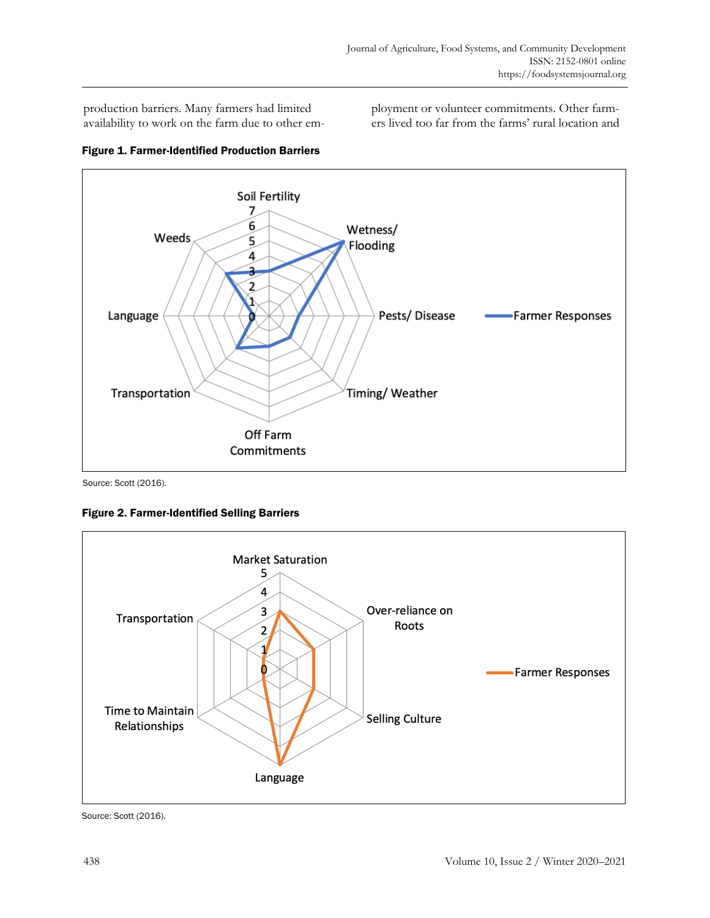production barriers. Many farmers had limited availability to work on the farm due to other employment or volunteer commitments. Other farmers lived too far from the farms' rural location and





Source: Scott (2016).

Figure 2. Farmer-Identified Selling Barriers



Source: Scott (2016).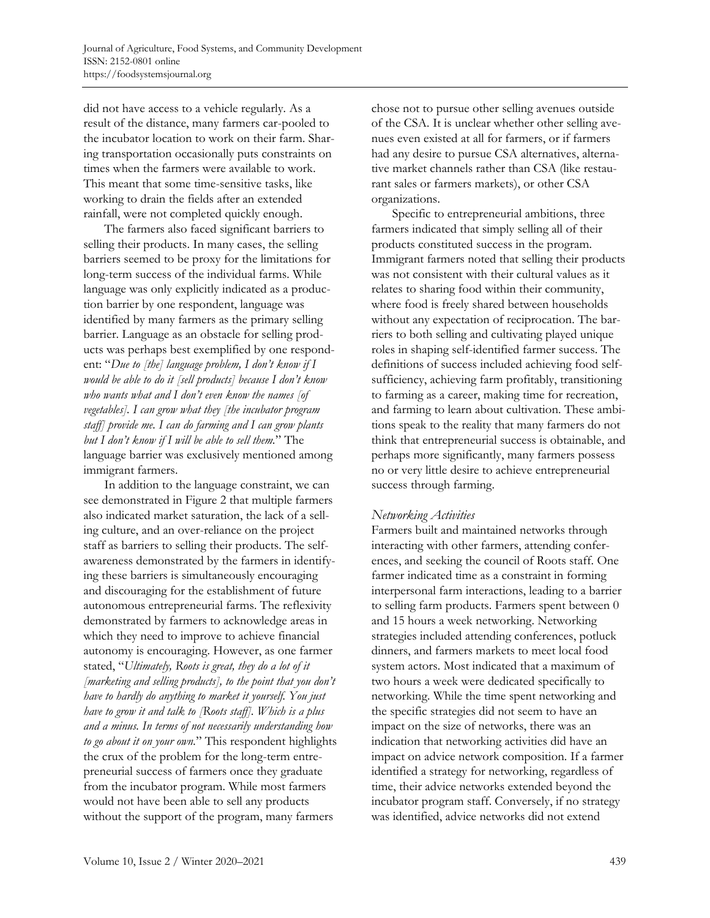did not have access to a vehicle regularly. As a result of the distance, many farmers car-pooled to the incubator location to work on their farm. Sharing transportation occasionally puts constraints on times when the farmers were available to work. This meant that some time-sensitive tasks, like working to drain the fields after an extended rainfall, were not completed quickly enough.

The farmers also faced significant barriers to selling their products. In many cases, the selling barriers seemed to be proxy for the limitations for long-term success of the individual farms. While language was only explicitly indicated as a production barrier by one respondent, language was identified by many farmers as the primary selling barrier. Language as an obstacle for selling products was perhaps best exemplified by one respondent: "*Due to [the] language problem, I don't know if I would be able to do it [sell products] because I don't know who wants what and I don't even know the names [of vegetables]. I can grow what they [the incubator program staff] provide me. I can do farming and I can grow plants but I don't know if I will be able to sell them.*" The language barrier was exclusively mentioned among immigrant farmers.

In addition to the language constraint, we can see demonstrated in Figure 2 that multiple farmers also indicated market saturation, the lack of a selling culture, and an over-reliance on the project staff as barriers to selling their products. The selfawareness demonstrated by the farmers in identifying these barriers is simultaneously encouraging and discouraging for the establishment of future autonomous entrepreneurial farms. The reflexivity demonstrated by farmers to acknowledge areas in which they need to improve to achieve financial autonomy is encouraging. However, as one farmer stated, "*Ultimately, Roots is great, they do a lot of it [marketing and selling products], to the point that you don't have to hardly do anything to market it yourself. You just have to grow it and talk to [Roots staff]. Which is a plus and a minus. In terms of not necessarily understanding how to go about it on your own.*" This respondent highlights the crux of the problem for the long-term entrepreneurial success of farmers once they graduate from the incubator program. While most farmers would not have been able to sell any products without the support of the program, many farmers

chose not to pursue other selling avenues outside of the CSA. It is unclear whether other selling avenues even existed at all for farmers, or if farmers had any desire to pursue CSA alternatives, alternative market channels rather than CSA (like restaurant sales or farmers markets), or other CSA organizations.

Specific to entrepreneurial ambitions, three farmers indicated that simply selling all of their products constituted success in the program. Immigrant farmers noted that selling their products was not consistent with their cultural values as it relates to sharing food within their community, where food is freely shared between households without any expectation of reciprocation. The barriers to both selling and cultivating played unique roles in shaping self-identified farmer success. The definitions of success included achieving food selfsufficiency, achieving farm profitably, transitioning to farming as a career, making time for recreation, and farming to learn about cultivation. These ambitions speak to the reality that many farmers do not think that entrepreneurial success is obtainable, and perhaps more significantly, many farmers possess no or very little desire to achieve entrepreneurial success through farming.

# *Networking Activities*

Farmers built and maintained networks through interacting with other farmers, attending conferences, and seeking the council of Roots staff. One farmer indicated time as a constraint in forming interpersonal farm interactions, leading to a barrier to selling farm products. Farmers spent between 0 and 15 hours a week networking. Networking strategies included attending conferences, potluck dinners, and farmers markets to meet local food system actors. Most indicated that a maximum of two hours a week were dedicated specifically to networking. While the time spent networking and the specific strategies did not seem to have an impact on the size of networks, there was an indication that networking activities did have an impact on advice network composition. If a farmer identified a strategy for networking, regardless of time, their advice networks extended beyond the incubator program staff. Conversely, if no strategy was identified, advice networks did not extend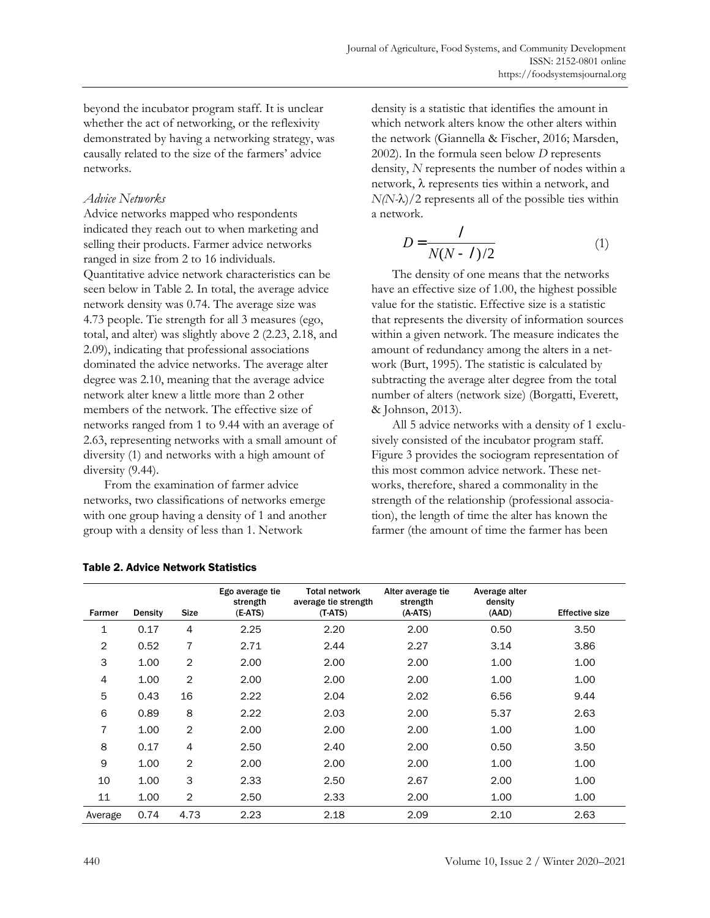beyond the incubator program staff. It is unclear whether the act of networking, or the reflexivity demonstrated by having a networking strategy, was causally related to the size of the farmers' advice networks.

## *Advice Networks*

Advice networks mapped who respondents indicated they reach out to when marketing and selling their products. Farmer advice networks ranged in size from 2 to 16 individuals. Quantitative advice network characteristics can be seen below in Table 2. In total, the average advice network density was 0.74. The average size was 4.73 people. Tie strength for all 3 measures (ego, total, and alter) was slightly above 2 (2.23, 2.18, and 2.09), indicating that professional associations dominated the advice networks. The average alter degree was 2.10, meaning that the average advice network alter knew a little more than 2 other members of the network. The effective size of networks ranged from 1 to 9.44 with an average of 2.63, representing networks with a small amount of diversity (1) and networks with a high amount of diversity  $(9.44)$ .

From the examination of farmer advice networks, two classifications of networks emerge with one group having a density of 1 and another group with a density of less than 1. Network

density is a statistic that identifies the amount in which network alters know the other alters within the network (Giannella & Fischer, 2016; Marsden, 2002). In the formula seen below *D* represents density, *N* represents the number of nodes within a network,  $\lambda$  represents ties within a network, and  $N(N-\lambda)/2$  represents all of the possible ties within a network.

$$
D = \frac{1}{N(N-1)/2} \tag{1}
$$

The density of one means that the networks have an effective size of 1.00, the highest possible value for the statistic. Effective size is a statistic that represents the diversity of information sources within a given network. The measure indicates the amount of redundancy among the alters in a network (Burt, 1995). The statistic is calculated by subtracting the average alter degree from the total number of alters (network size) (Borgatti, Everett, & Johnson, 2013).

All 5 advice networks with a density of 1 exclusively consisted of the incubator program staff. Figure 3 provides the sociogram representation of this most common advice network. These networks, therefore, shared a commonality in the strength of the relationship (professional association), the length of time the alter has known the farmer (the amount of time the farmer has been

|         |         |                | Ego average tie<br>strength | <b>Total network</b><br>average tie strength | Alter average tie<br>strength | Average alter<br>density |                       |
|---------|---------|----------------|-----------------------------|----------------------------------------------|-------------------------------|--------------------------|-----------------------|
| Farmer  | Density | <b>Size</b>    | $(E-ATS)$                   | $(T-ATS)$                                    | $(A-ATS)$                     | (AAD)                    | <b>Effective size</b> |
| 1       | 0.17    | 4              | 2.25                        | 2.20                                         | 2.00                          | 0.50                     | 3.50                  |
| 2       | 0.52    | 7              | 2.71                        | 2.44                                         | 2.27                          | 3.14                     | 3.86                  |
| 3       | 1.00    | $\overline{2}$ | 2.00                        | 2.00                                         | 2.00                          | 1.00                     | 1.00                  |
| 4       | 1.00    | $\overline{2}$ | 2.00                        | 2.00                                         | 2.00                          | 1.00                     | 1.00                  |
| 5       | 0.43    | 16             | 2.22                        | 2.04                                         | 2.02                          | 6.56                     | 9.44                  |
| 6       | 0.89    | 8              | 2.22                        | 2.03                                         | 2.00                          | 5.37                     | 2.63                  |
| 7       | 1.00    | $\overline{2}$ | 2.00                        | 2.00                                         | 2.00                          | 1.00                     | 1.00                  |
| 8       | 0.17    | 4              | 2.50                        | 2.40                                         | 2.00                          | 0.50                     | 3.50                  |
| 9       | 1.00    | $\overline{2}$ | 2.00                        | 2.00                                         | 2.00                          | 1.00                     | 1.00                  |
| 10      | 1.00    | 3              | 2.33                        | 2.50                                         | 2.67                          | 2.00                     | 1.00                  |
| 11      | 1.00    | $\overline{2}$ | 2.50                        | 2.33                                         | 2.00                          | 1.00                     | 1.00                  |
| Average | 0.74    | 4.73           | 2.23                        | 2.18                                         | 2.09                          | 2.10                     | 2.63                  |

|  | <b>Table 2. Advice Network Statistics</b> |
|--|-------------------------------------------|
|  |                                           |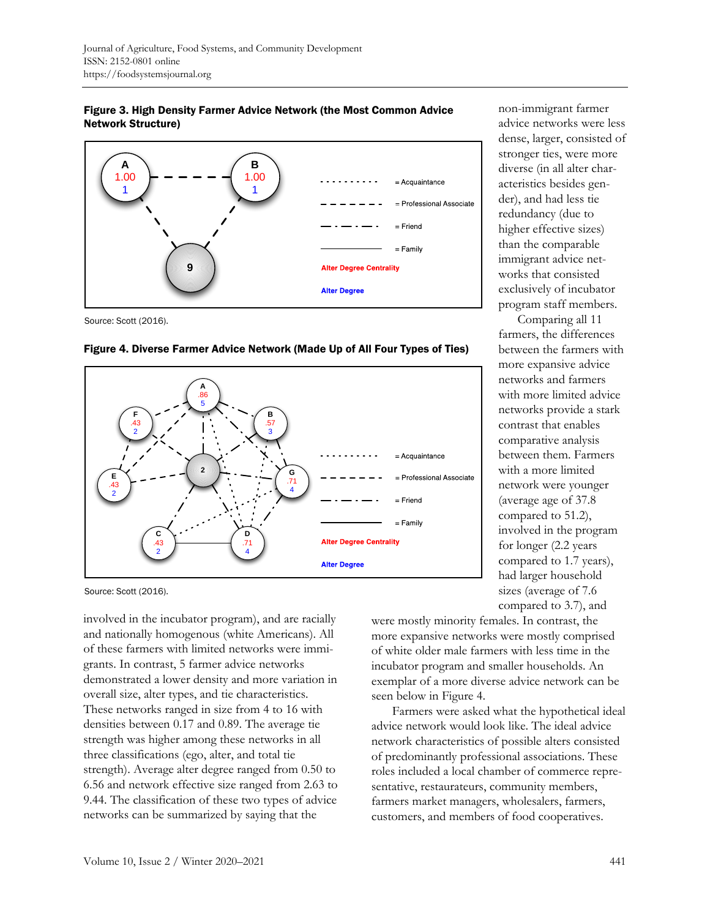



Source: Scott (2016).



#### Figure 4. Diverse Farmer Advice Network (Made Up of All Four Types of Ties)

Source: Scott (2016).

involved in the incubator program), and are racially and nationally homogenous (white Americans). All of these farmers with limited networks were immigrants. In contrast, 5 farmer advice networks demonstrated a lower density and more variation in overall size, alter types, and tie characteristics. These networks ranged in size from 4 to 16 with densities between 0.17 and 0.89. The average tie strength was higher among these networks in all three classifications (ego, alter, and total tie strength). Average alter degree ranged from 0.50 to 6.56 and network effective size ranged from 2.63 to 9.44. The classification of these two types of advice networks can be summarized by saying that the

were mostly minority females. In contrast, the more expansive networks were mostly comprised of white older male farmers with less time in the incubator program and smaller households. An exemplar of a more diverse advice network can be seen below in Figure 4.

non-immigrant farmer advice networks were less dense, larger, consisted of stronger ties, were more diverse (in all alter characteristics besides gender), and had less tie redundancy (due to higher effective sizes) than the comparable immigrant advice networks that consisted exclusively of incubator program staff members. Comparing all 11 farmers, the differences between the farmers with more expansive advice networks and farmers with more limited advice networks provide a stark contrast that enables comparative analysis between them. Farmers with a more limited network were younger (average age of 37.8 compared to 51.2), involved in the program for longer (2.2 years compared to 1.7 years), had larger household sizes (average of 7.6 compared to 3.7), and

Farmers were asked what the hypothetical ideal advice network would look like. The ideal advice network characteristics of possible alters consisted of predominantly professional associations. These roles included a local chamber of commerce representative, restaurateurs, community members, farmers market managers, wholesalers, farmers, customers, and members of food cooperatives.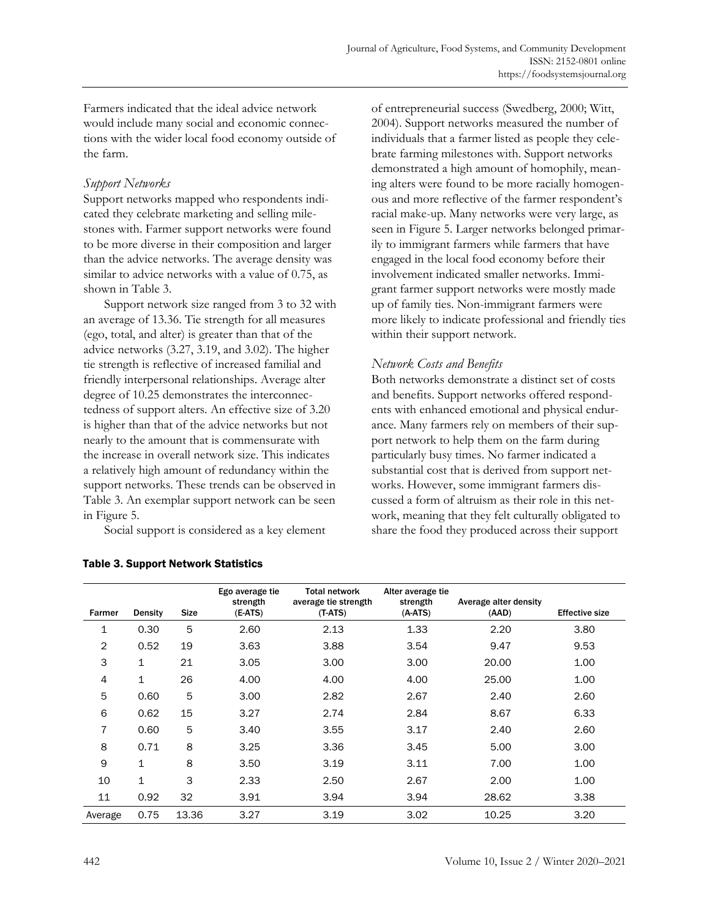Farmers indicated that the ideal advice network would include many social and economic connections with the wider local food economy outside of the farm.

# *Support Networks*

Support networks mapped who respondents indicated they celebrate marketing and selling milestones with. Farmer support networks were found to be more diverse in their composition and larger than the advice networks. The average density was similar to advice networks with a value of 0.75, as shown in Table 3.

Support network size ranged from 3 to 32 with an average of 13.36. Tie strength for all measures (ego, total, and alter) is greater than that of the advice networks (3.27, 3.19, and 3.02). The higher tie strength is reflective of increased familial and friendly interpersonal relationships. Average alter degree of 10.25 demonstrates the interconnectedness of support alters. An effective size of 3.20 is higher than that of the advice networks but not nearly to the amount that is commensurate with the increase in overall network size. This indicates a relatively high amount of redundancy within the support networks. These trends can be observed in Table 3. An exemplar support network can be seen in Figure 5.

Social support is considered as a key element

of entrepreneurial success (Swedberg, 2000; Witt, 2004). Support networks measured the number of individuals that a farmer listed as people they celebrate farming milestones with. Support networks demonstrated a high amount of homophily, meaning alters were found to be more racially homogenous and more reflective of the farmer respondent's racial make-up. Many networks were very large, as seen in Figure 5. Larger networks belonged primarily to immigrant farmers while farmers that have engaged in the local food economy before their involvement indicated smaller networks. Immigrant farmer support networks were mostly made up of family ties. Non-immigrant farmers were more likely to indicate professional and friendly ties within their support network.

# *Network Costs and Benefits*

Both networks demonstrate a distinct set of costs and benefits. Support networks offered respondents with enhanced emotional and physical endurance. Many farmers rely on members of their support network to help them on the farm during particularly busy times. No farmer indicated a substantial cost that is derived from support networks. However, some immigrant farmers discussed a form of altruism as their role in this network, meaning that they felt culturally obligated to share the food they produced across their support

| Farmer  | Density | <b>Size</b> | Ego average tie<br>strength<br>$(E-ATS)$ | Total network<br>average tie strength<br>$(T-ATS)$ | Alter average tie<br>strength<br>$(A-ATS)$ | Average alter density<br>(AAD) | <b>Effective size</b> |
|---------|---------|-------------|------------------------------------------|----------------------------------------------------|--------------------------------------------|--------------------------------|-----------------------|
| 1       | 0.30    | 5           | 2.60                                     | 2.13                                               | 1.33                                       | 2.20                           | 3.80                  |
| 2       | 0.52    | 19          | 3.63                                     | 3.88                                               | 3.54                                       | 9.47                           | 9.53                  |
| 3       | 1       | 21          | 3.05                                     | 3.00                                               | 3.00                                       | 20.00                          | 1.00                  |
| 4       | 1       | 26          | 4.00                                     | 4.00                                               | 4.00                                       | 25.00                          | 1.00                  |
| 5       | 0.60    | 5           | 3.00                                     | 2.82                                               | 2.67                                       | 2.40                           | 2.60                  |
| 6       | 0.62    | 15          | 3.27                                     | 2.74                                               | 2.84                                       | 8.67                           | 6.33                  |
| 7       | 0.60    | 5           | 3.40                                     | 3.55                                               | 3.17                                       | 2.40                           | 2.60                  |
| 8       | 0.71    | 8           | 3.25                                     | 3.36                                               | 3.45                                       | 5.00                           | 3.00                  |
| 9       | 1       | 8           | 3.50                                     | 3.19                                               | 3.11                                       | 7.00                           | 1.00                  |
| 10      | 1       | 3           | 2.33                                     | 2.50                                               | 2.67                                       | 2.00                           | 1.00                  |
| 11      | 0.92    | 32          | 3.91                                     | 3.94                                               | 3.94                                       | 28.62                          | 3.38                  |
| Average | 0.75    | 13.36       | 3.27                                     | 3.19                                               | 3.02                                       | 10.25                          | 3.20                  |

### Table 3. Support Network Statistics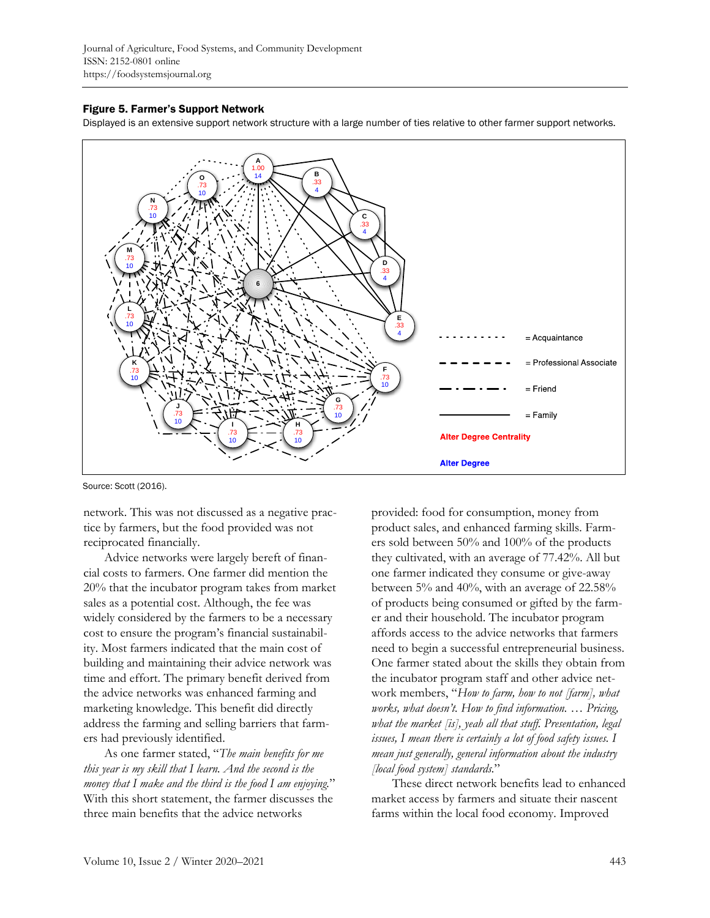Journal of Agriculture, Food Systems, and Community Development ISSN: 2152-0801 online https://foodsystemsjournal.org

#### Figure 5. Farmer's Support Network

Displayed is an extensive support network structure with a large number of ties relative to other farmer support networks.



Source: Scott (2016).

network. This was not discussed as a negative practice by farmers, but the food provided was not reciprocated financially.

Advice networks were largely bereft of financial costs to farmers. One farmer did mention the 20% that the incubator program takes from market sales as a potential cost. Although, the fee was widely considered by the farmers to be a necessary cost to ensure the program's financial sustainability. Most farmers indicated that the main cost of building and maintaining their advice network was time and effort. The primary benefit derived from the advice networks was enhanced farming and marketing knowledge. This benefit did directly address the farming and selling barriers that farmers had previously identified.

As one farmer stated, "*The main benefits for me this year is my skill that I learn. And the second is the money that I make and the third is the food I am enjoying.*" With this short statement, the farmer discusses the three main benefits that the advice networks

provided: food for consumption, money from product sales, and enhanced farming skills. Farmers sold between 50% and 100% of the products they cultivated, with an average of 77.42%. All but one farmer indicated they consume or give-away between 5% and 40%, with an average of 22.58% of products being consumed or gifted by the farmer and their household. The incubator program affords access to the advice networks that farmers need to begin a successful entrepreneurial business. One farmer stated about the skills they obtain from the incubator program staff and other advice network members, "*How to farm, how to not [farm], what works, what doesn't. How to find information. … Pricing, what the market [is], yeah all that stuff. Presentation, legal issues, I mean there is certainly a lot of food safety issues. I mean just generally, general information about the industry [local food system] standards.*"

These direct network benefits lead to enhanced market access by farmers and situate their nascent farms within the local food economy. Improved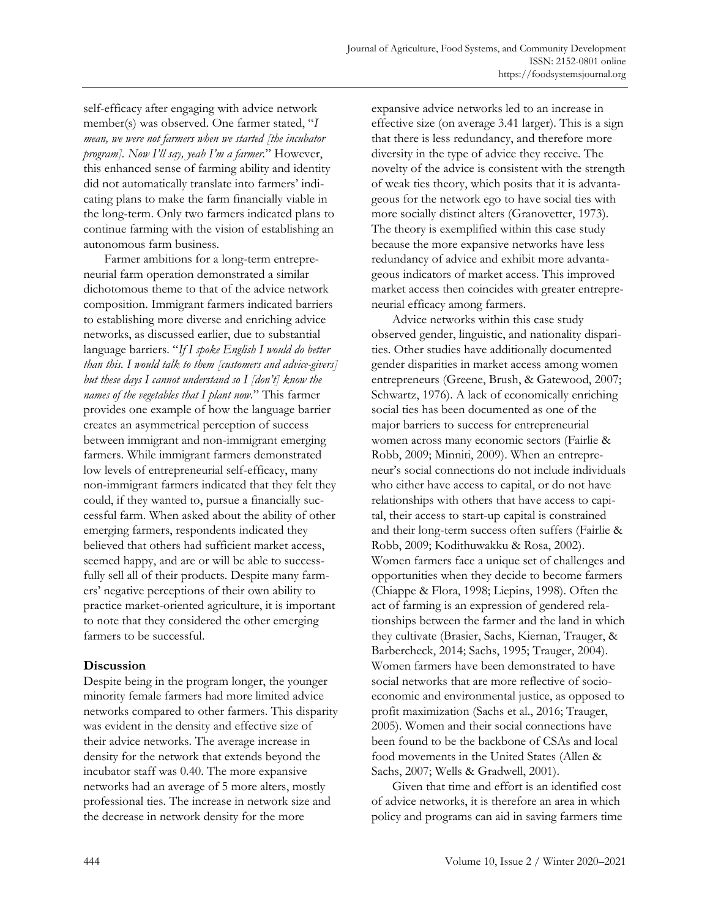self-efficacy after engaging with advice network member(s) was observed. One farmer stated, "*I mean, we were not farmers when we started [the incubator program]. Now I'll say, yeah I'm a farmer.*" However, this enhanced sense of farming ability and identity did not automatically translate into farmers' indicating plans to make the farm financially viable in the long-term. Only two farmers indicated plans to continue farming with the vision of establishing an autonomous farm business.

Farmer ambitions for a long-term entrepreneurial farm operation demonstrated a similar dichotomous theme to that of the advice network composition. Immigrant farmers indicated barriers to establishing more diverse and enriching advice networks, as discussed earlier, due to substantial language barriers. "*If I spoke English I would do better than this. I would talk to them [customers and advice-givers] but these days I cannot understand so I [don't] know the names of the vegetables that I plant now.*" This farmer provides one example of how the language barrier creates an asymmetrical perception of success between immigrant and non-immigrant emerging farmers. While immigrant farmers demonstrated low levels of entrepreneurial self-efficacy, many non-immigrant farmers indicated that they felt they could, if they wanted to, pursue a financially successful farm. When asked about the ability of other emerging farmers, respondents indicated they believed that others had sufficient market access, seemed happy, and are or will be able to successfully sell all of their products. Despite many farmers' negative perceptions of their own ability to practice market-oriented agriculture, it is important to note that they considered the other emerging farmers to be successful.

### **Discussion**

Despite being in the program longer, the younger minority female farmers had more limited advice networks compared to other farmers. This disparity was evident in the density and effective size of their advice networks. The average increase in density for the network that extends beyond the incubator staff was 0.40. The more expansive networks had an average of 5 more alters, mostly professional ties. The increase in network size and the decrease in network density for the more

expansive advice networks led to an increase in effective size (on average 3.41 larger). This is a sign that there is less redundancy, and therefore more diversity in the type of advice they receive. The novelty of the advice is consistent with the strength of weak ties theory, which posits that it is advantageous for the network ego to have social ties with more socially distinct alters (Granovetter, 1973). The theory is exemplified within this case study because the more expansive networks have less redundancy of advice and exhibit more advantageous indicators of market access. This improved market access then coincides with greater entrepreneurial efficacy among farmers.

Advice networks within this case study observed gender, linguistic, and nationality disparities. Other studies have additionally documented gender disparities in market access among women entrepreneurs (Greene, Brush, & Gatewood, 2007; Schwartz, 1976). A lack of economically enriching social ties has been documented as one of the major barriers to success for entrepreneurial women across many economic sectors (Fairlie & Robb, 2009; Minniti, 2009). When an entrepreneur's social connections do not include individuals who either have access to capital, or do not have relationships with others that have access to capital, their access to start-up capital is constrained and their long-term success often suffers (Fairlie & Robb, 2009; Kodithuwakku & Rosa, 2002). Women farmers face a unique set of challenges and opportunities when they decide to become farmers (Chiappe & Flora, 1998; Liepins, 1998). Often the act of farming is an expression of gendered relationships between the farmer and the land in which they cultivate (Brasier, Sachs, Kiernan, Trauger, & Barbercheck, 2014; Sachs, 1995; Trauger, 2004). Women farmers have been demonstrated to have social networks that are more reflective of socioeconomic and environmental justice, as opposed to profit maximization (Sachs et al., 2016; Trauger, 2005). Women and their social connections have been found to be the backbone of CSAs and local food movements in the United States (Allen & Sachs, 2007; Wells & Gradwell, 2001).

Given that time and effort is an identified cost of advice networks, it is therefore an area in which policy and programs can aid in saving farmers time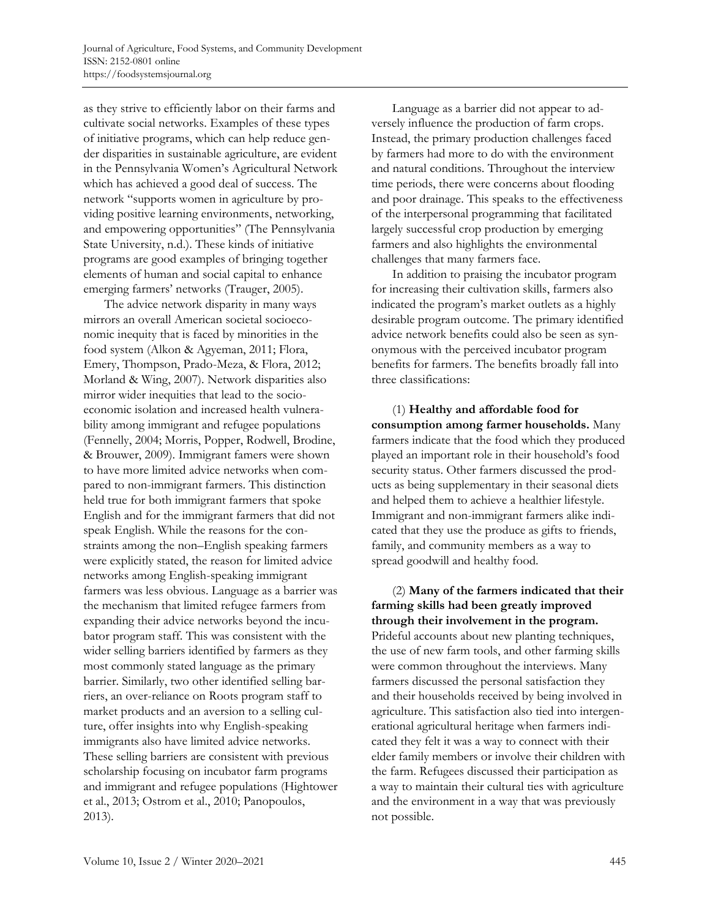as they strive to efficiently labor on their farms and cultivate social networks. Examples of these types of initiative programs, which can help reduce gender disparities in sustainable agriculture, are evident in the Pennsylvania Women's Agricultural Network which has achieved a good deal of success. The network "supports women in agriculture by providing positive learning environments, networking, and empowering opportunities" (The Pennsylvania State University, n.d.). These kinds of initiative programs are good examples of bringing together elements of human and social capital to enhance emerging farmers' networks (Trauger, 2005).

The advice network disparity in many ways mirrors an overall American societal socioeconomic inequity that is faced by minorities in the food system (Alkon & Agyeman, 2011; Flora, Emery, Thompson, Prado-Meza, & Flora, 2012; Morland & Wing, 2007). Network disparities also mirror wider inequities that lead to the socioeconomic isolation and increased health vulnerability among immigrant and refugee populations (Fennelly, 2004; Morris, Popper, Rodwell, Brodine, & Brouwer, 2009). Immigrant famers were shown to have more limited advice networks when compared to non-immigrant farmers. This distinction held true for both immigrant farmers that spoke English and for the immigrant farmers that did not speak English. While the reasons for the constraints among the non–English speaking farmers were explicitly stated, the reason for limited advice networks among English-speaking immigrant farmers was less obvious. Language as a barrier was the mechanism that limited refugee farmers from expanding their advice networks beyond the incubator program staff. This was consistent with the wider selling barriers identified by farmers as they most commonly stated language as the primary barrier. Similarly, two other identified selling barriers, an over-reliance on Roots program staff to market products and an aversion to a selling culture, offer insights into why English-speaking immigrants also have limited advice networks. These selling barriers are consistent with previous scholarship focusing on incubator farm programs and immigrant and refugee populations (Hightower et al., 2013; Ostrom et al., 2010; Panopoulos, 2013).

Language as a barrier did not appear to adversely influence the production of farm crops. Instead, the primary production challenges faced by farmers had more to do with the environment and natural conditions. Throughout the interview time periods, there were concerns about flooding and poor drainage. This speaks to the effectiveness of the interpersonal programming that facilitated largely successful crop production by emerging farmers and also highlights the environmental challenges that many farmers face.

In addition to praising the incubator program for increasing their cultivation skills, farmers also indicated the program's market outlets as a highly desirable program outcome. The primary identified advice network benefits could also be seen as synonymous with the perceived incubator program benefits for farmers. The benefits broadly fall into three classifications:

(1) **Healthy and affordable food for consumption among farmer households.** Many farmers indicate that the food which they produced played an important role in their household's food security status. Other farmers discussed the products as being supplementary in their seasonal diets and helped them to achieve a healthier lifestyle. Immigrant and non-immigrant farmers alike indicated that they use the produce as gifts to friends, family, and community members as a way to spread goodwill and healthy food.

(2) **Many of the farmers indicated that their farming skills had been greatly improved through their involvement in the program.** Prideful accounts about new planting techniques, the use of new farm tools, and other farming skills were common throughout the interviews. Many farmers discussed the personal satisfaction they and their households received by being involved in agriculture. This satisfaction also tied into intergenerational agricultural heritage when farmers indicated they felt it was a way to connect with their elder family members or involve their children with the farm. Refugees discussed their participation as a way to maintain their cultural ties with agriculture and the environment in a way that was previously not possible.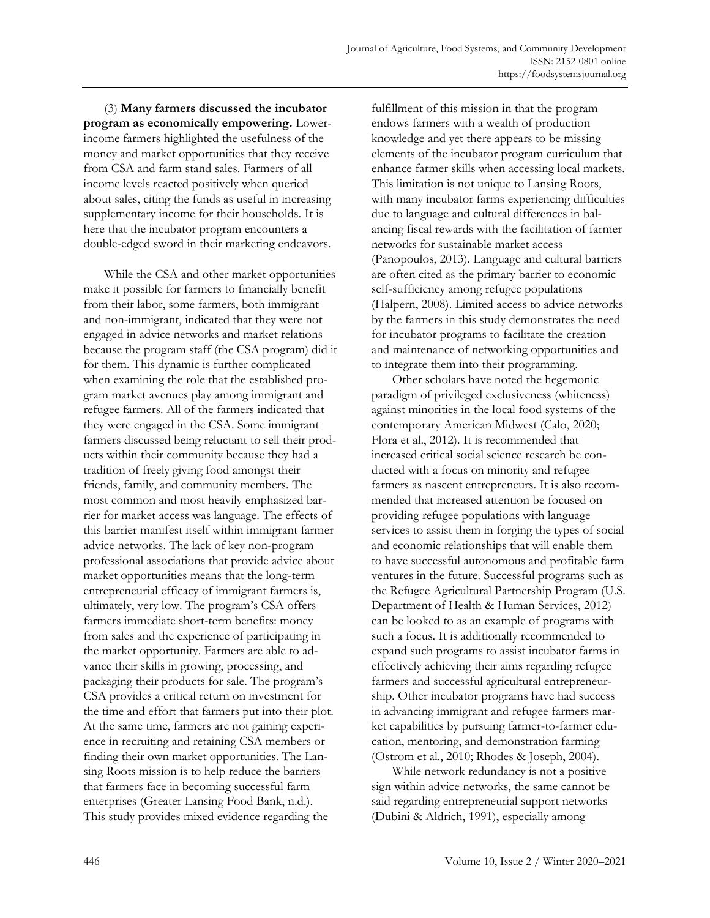(3) **Many farmers discussed the incubator program as economically empowering.** Lowerincome farmers highlighted the usefulness of the money and market opportunities that they receive from CSA and farm stand sales. Farmers of all income levels reacted positively when queried about sales, citing the funds as useful in increasing supplementary income for their households. It is here that the incubator program encounters a double-edged sword in their marketing endeavors.

While the CSA and other market opportunities make it possible for farmers to financially benefit from their labor, some farmers, both immigrant and non-immigrant, indicated that they were not engaged in advice networks and market relations because the program staff (the CSA program) did it for them. This dynamic is further complicated when examining the role that the established program market avenues play among immigrant and refugee farmers. All of the farmers indicated that they were engaged in the CSA. Some immigrant farmers discussed being reluctant to sell their products within their community because they had a tradition of freely giving food amongst their friends, family, and community members. The most common and most heavily emphasized barrier for market access was language. The effects of this barrier manifest itself within immigrant farmer advice networks. The lack of key non-program professional associations that provide advice about market opportunities means that the long-term entrepreneurial efficacy of immigrant farmers is, ultimately, very low. The program's CSA offers farmers immediate short-term benefits: money from sales and the experience of participating in the market opportunity. Farmers are able to advance their skills in growing, processing, and packaging their products for sale. The program's CSA provides a critical return on investment for the time and effort that farmers put into their plot. At the same time, farmers are not gaining experience in recruiting and retaining CSA members or finding their own market opportunities. The Lansing Roots mission is to help reduce the barriers that farmers face in becoming successful farm enterprises (Greater Lansing Food Bank, n.d.). This study provides mixed evidence regarding the

fulfillment of this mission in that the program endows farmers with a wealth of production knowledge and yet there appears to be missing elements of the incubator program curriculum that enhance farmer skills when accessing local markets. This limitation is not unique to Lansing Roots, with many incubator farms experiencing difficulties due to language and cultural differences in balancing fiscal rewards with the facilitation of farmer networks for sustainable market access (Panopoulos, 2013). Language and cultural barriers are often cited as the primary barrier to economic self-sufficiency among refugee populations (Halpern, 2008). Limited access to advice networks by the farmers in this study demonstrates the need for incubator programs to facilitate the creation and maintenance of networking opportunities and to integrate them into their programming.

Other scholars have noted the hegemonic paradigm of privileged exclusiveness (whiteness) against minorities in the local food systems of the contemporary American Midwest (Calo, 2020; Flora et al., 2012). It is recommended that increased critical social science research be conducted with a focus on minority and refugee farmers as nascent entrepreneurs. It is also recommended that increased attention be focused on providing refugee populations with language services to assist them in forging the types of social and economic relationships that will enable them to have successful autonomous and profitable farm ventures in the future. Successful programs such as the Refugee Agricultural Partnership Program (U.S. Department of Health & Human Services, 2012) can be looked to as an example of programs with such a focus. It is additionally recommended to expand such programs to assist incubator farms in effectively achieving their aims regarding refugee farmers and successful agricultural entrepreneurship. Other incubator programs have had success in advancing immigrant and refugee farmers market capabilities by pursuing farmer-to-farmer education, mentoring, and demonstration farming (Ostrom et al., 2010; Rhodes & Joseph, 2004).

While network redundancy is not a positive sign within advice networks, the same cannot be said regarding entrepreneurial support networks (Dubini & Aldrich, 1991), especially among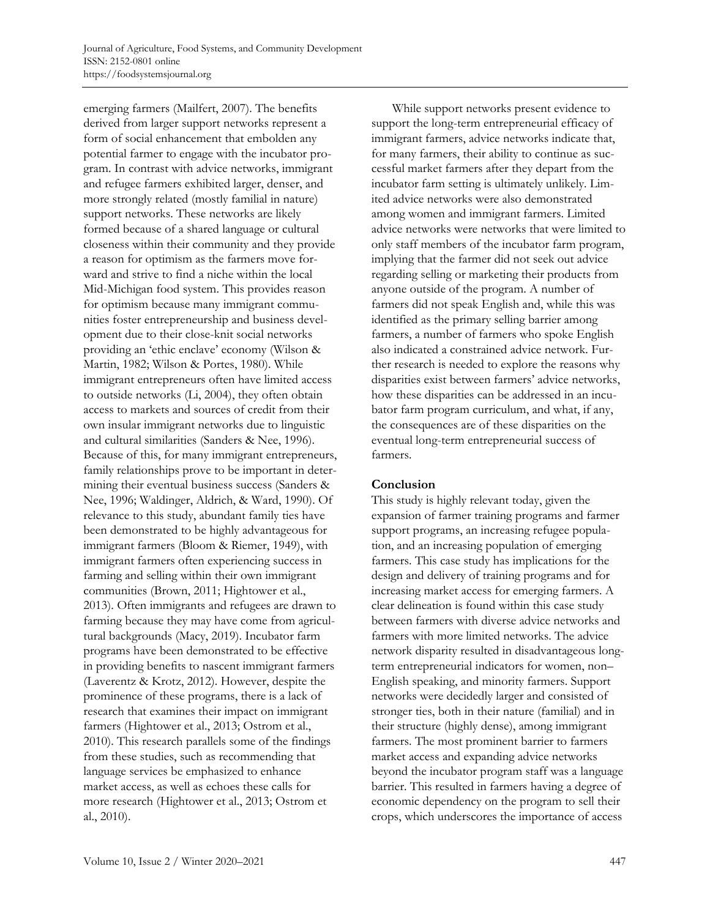emerging farmers (Mailfert, 2007). The benefits derived from larger support networks represent a form of social enhancement that embolden any potential farmer to engage with the incubator program. In contrast with advice networks, immigrant and refugee farmers exhibited larger, denser, and more strongly related (mostly familial in nature) support networks. These networks are likely formed because of a shared language or cultural closeness within their community and they provide a reason for optimism as the farmers move forward and strive to find a niche within the local Mid-Michigan food system. This provides reason for optimism because many immigrant communities foster entrepreneurship and business development due to their close-knit social networks providing an 'ethic enclave' economy (Wilson & Martin, 1982; Wilson & Portes, 1980). While immigrant entrepreneurs often have limited access to outside networks (Li, 2004), they often obtain access to markets and sources of credit from their own insular immigrant networks due to linguistic and cultural similarities (Sanders & Nee, 1996). Because of this, for many immigrant entrepreneurs, family relationships prove to be important in determining their eventual business success (Sanders & Nee, 1996; Waldinger, Aldrich, & Ward, 1990). Of relevance to this study, abundant family ties have been demonstrated to be highly advantageous for immigrant farmers (Bloom & Riemer, 1949), with immigrant farmers often experiencing success in farming and selling within their own immigrant communities (Brown, 2011; Hightower et al., 2013). Often immigrants and refugees are drawn to farming because they may have come from agricultural backgrounds (Macy, 2019). Incubator farm programs have been demonstrated to be effective in providing benefits to nascent immigrant farmers (Laverentz & Krotz, 2012). However, despite the prominence of these programs, there is a lack of research that examines their impact on immigrant farmers (Hightower et al., 2013; Ostrom et al., 2010). This research parallels some of the findings from these studies, such as recommending that language services be emphasized to enhance market access, as well as echoes these calls for more research (Hightower et al., 2013; Ostrom et al., 2010).

While support networks present evidence to support the long-term entrepreneurial efficacy of immigrant farmers, advice networks indicate that, for many farmers, their ability to continue as successful market farmers after they depart from the incubator farm setting is ultimately unlikely. Limited advice networks were also demonstrated among women and immigrant farmers. Limited advice networks were networks that were limited to only staff members of the incubator farm program, implying that the farmer did not seek out advice regarding selling or marketing their products from anyone outside of the program. A number of farmers did not speak English and, while this was identified as the primary selling barrier among farmers, a number of farmers who spoke English also indicated a constrained advice network. Further research is needed to explore the reasons why disparities exist between farmers' advice networks, how these disparities can be addressed in an incubator farm program curriculum, and what, if any, the consequences are of these disparities on the eventual long-term entrepreneurial success of farmers.

### **Conclusion**

This study is highly relevant today, given the expansion of farmer training programs and farmer support programs, an increasing refugee population, and an increasing population of emerging farmers. This case study has implications for the design and delivery of training programs and for increasing market access for emerging farmers. A clear delineation is found within this case study between farmers with diverse advice networks and farmers with more limited networks. The advice network disparity resulted in disadvantageous longterm entrepreneurial indicators for women, non– English speaking, and minority farmers. Support networks were decidedly larger and consisted of stronger ties, both in their nature (familial) and in their structure (highly dense), among immigrant farmers. The most prominent barrier to farmers market access and expanding advice networks beyond the incubator program staff was a language barrier. This resulted in farmers having a degree of economic dependency on the program to sell their crops, which underscores the importance of access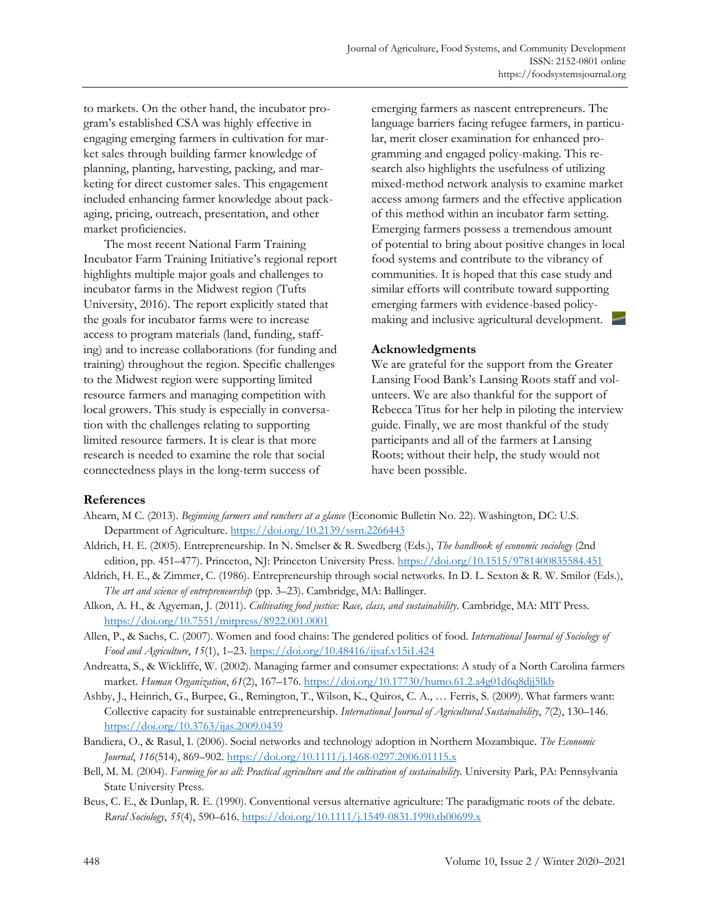to markets. On the other hand, the incubator program's established CSA was highly effective in engaging emerging farmers in cultivation for market sales through building farmer knowledge of planning, planting, harvesting, packing, and marketing for direct customer sales. This engagement included enhancing farmer knowledge about packaging, pricing, outreach, presentation, and other market proficiencies.

The most recent National Farm Training Incubator Farm Training Initiative's regional report highlights multiple major goals and challenges to incubator farms in the Midwest region (Tufts University, 2016). The report explicitly stated that the goals for incubator farms were to increase access to program materials (land, funding, staffing) and to increase collaborations (for funding and training) throughout the region. Specific challenges to the Midwest region were supporting limited resource farmers and managing competition with local growers. This study is especially in conversation with the challenges relating to supporting limited resource farmers. It is clear is that more research is needed to examine the role that social connectedness plays in the long-term success of

emerging farmers as nascent entrepreneurs. The language barriers facing refugee farmers, in particular, merit closer examination for enhanced programming and engaged policy-making. This research also highlights the usefulness of utilizing mixed-method network analysis to examine market access among farmers and the effective application of this method within an incubator farm setting. Emerging farmers possess a tremendous amount of potential to bring about positive changes in local food systems and contribute to the vibrancy of communities. It is hoped that this case study and similar efforts will contribute toward supporting emerging farmers with evidence-based policymaking and inclusive agricultural development.

#### **Acknowledgments**

We are grateful for the support from the Greater Lansing Food Bank's Lansing Roots staff and volunteers. We are also thankful for the support of Rebecca Titus for her help in piloting the interview guide. Finally, we are most thankful of the study participants and all of the farmers at Lansing Roots; without their help, the study would not have been possible.

### **References**

- Ahearn, M C. (2013). *Beginning farmers and ranchers at a glance* (Economic Bulletin No. 22). Washington, DC: U.S. Department of Agriculture. https://doi.org/10.2139/ssrn.2266443
- Aldrich, H. E. (2005). Entrepreneurship. In N. Smelser & R. Swedberg (Eds.), *The handbook of economic sociology* (2nd edition, pp. 451-477). Princeton, NJ: Princeton University Press. https://doi.org/10.1515/9781400835584.451
- Aldrich, H. E., & Zimmer, C. (1986). Entrepreneurship through social networks. In D. L. Sexton & R. W. Smilor (Eds.), *The art and science of entrepreneurship* (pp. 3–23). Cambridge, MA: Ballinger.
- Alkon, A. H., & Agyeman, J. (2011). *Cultivating food justice: Race, class, and sustainability*. Cambridge, MA: MIT Press. https://doi.org/10.7551/mitpress/8922.001.0001
- Allen, P., & Sachs, C. (2007). Women and food chains: The gendered politics of food. *International Journal of Sociology of Food and Agriculture*, *15*(1), 1–23. https://doi.org/10.48416/ijsaf.v15i1.424
- Andreatta, S., & Wickliffe, W. (2002). Managing farmer and consumer expectations: A study of a North Carolina farmers market. *Human Organization*, *61*(2), 167–176. https://doi.org/10.17730/humo.61.2.a4g01d6q8djj5lkb
- Ashby, J., Heinrich, G., Burpee, G., Remington, T., Wilson, K., Quiros, C. A., … Ferris, S. (2009). What farmers want: Collective capacity for sustainable entrepreneurship. *International Journal of Agricultural Sustainability*, *7*(2), 130–146. https://doi.org/10.3763/ijas.2009.0439
- Bandiera, O., & Rasul, I. (2006). Social networks and technology adoption in Northern Mozambique. *The Economic Journal*, *116*(514), 869–902. https://doi.org/10.1111/j.1468-0297.2006.01115.x
- Bell, M. M. (2004). *Farming for us all: Practical agriculture and the cultivation of sustainability*. University Park, PA: Pennsylvania State University Press.
- Beus, C. E., & Dunlap, R. E. (1990). Conventional versus alternative agriculture: The paradigmatic roots of the debate. *Rural Sociology*, *55*(4), 590–616. https://doi.org/10.1111/j.1549-0831.1990.tb00699.x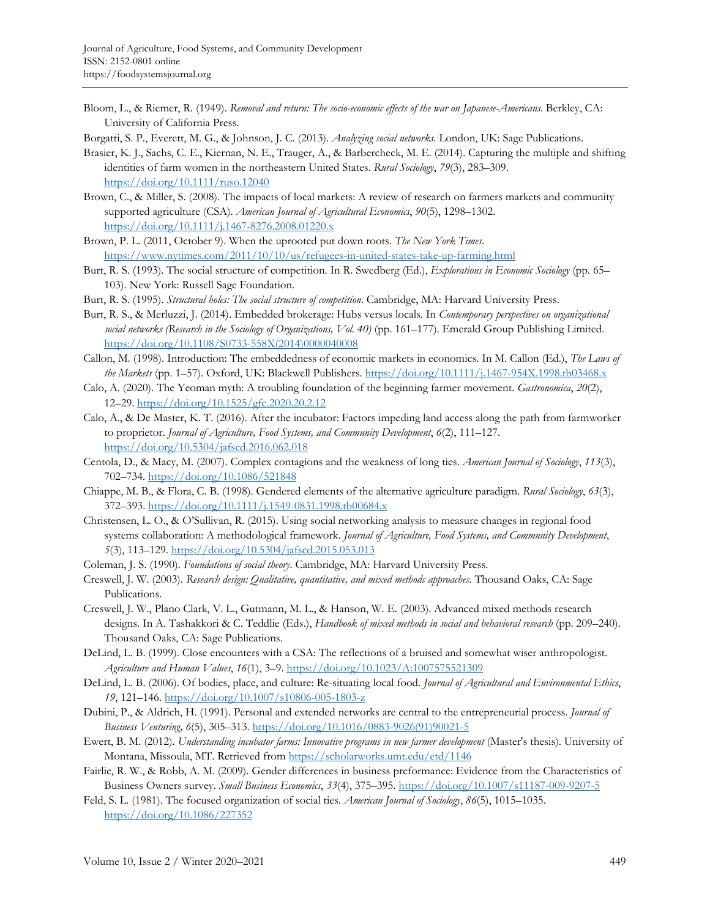Bloom, L., & Riemer, R. (1949). *Removal and return: The socio-economic effects of the war on Japanese-Americans*. Berkley, CA: University of California Press.

Borgatti, S. P., Everett, M. G., & Johnson, J. C. (2013). *Analyzing social networks*. London, UK: Sage Publications.

- Brasier, K. J., Sachs, C. E., Kiernan, N. E., Trauger, A., & Barbercheck, M. E. (2014). Capturing the multiple and shifting identities of farm women in the northeastern United States. *Rural Sociology*, *79*(3), 283–309. https://doi.org/10.1111/ruso.12040
- Brown, C., & Miller, S. (2008). The impacts of local markets: A review of research on farmers markets and community supported agriculture (CSA). *American Journal of Agricultural Economics*, *90*(5), 1298–1302. https://doi.org/10.1111/j.1467-8276.2008.01220.x
- Brown, P. L. (2011, October 9). When the uprooted put down roots. *The New York Times*. https://www.nytimes.com/2011/10/10/us/refugees-in-united-states-take-up-farming.html
- Burt, R. S. (1993). The social structure of competition. In R. Swedberg (Ed.), *Explorations in Economic Sociology* (pp. 65– 103). New York: Russell Sage Foundation.
- Burt, R. S. (1995). *Structural holes: The social structure of competition*. Cambridge, MA: Harvard University Press.
- Burt, R. S., & Merluzzi, J. (2014). Embedded brokerage: Hubs versus locals. In *Contemporary perspectives on organizational social networks (Research in the Sociology of Organizations, Vol. 40)* (pp. 161–177). Emerald Group Publishing Limited. [https://doi.org/10.1108/S0733-558X\(2014\)0000040008](https://doi.org/10.1108/S0733-558X(2014)0000040008)
- Callon, M. (1998). Introduction: The embeddedness of economic markets in economics. In M. Callon (Ed.), *The Laws of the Markets* (pp. 1–57). Oxford, UK: Blackwell Publishers. https://doi.org/10.1111/j.1467-954X.1998.tb03468.x
- Calo, A. (2020). The Yeoman myth: A troubling foundation of the beginning farmer movement. *Gastronomica*, *20*(2), 12–29. https://doi.org/10.1525/gfc.2020.20.2.12
- Calo, A., & De Master, K. T. (2016). After the incubator: Factors impeding land access along the path from farmworker to proprietor. *Journal of Agriculture, Food Systems, and Community Development*, *6*(2), 111–127. https://doi.org/10.5304/jafscd.2016.062.018
- Centola, D., & Macy, M. (2007). Complex contagions and the weakness of long ties. *American Journal of Sociology*, *113*(3), 702–734. https://doi.org/10.1086/521848
- Chiappe, M. B., & Flora, C. B. (1998). Gendered elements of the alternative agriculture paradigm. *Rural Sociology*, *63*(3), 372–393. https://doi.org/10.1111/j.1549-0831.1998.tb00684.x
- Christensen, L. O., & O'Sullivan, R. (2015). Using social networking analysis to measure changes in regional food systems collaboration: A methodological framework. *Journal of Agriculture, Food Systems, and Community Development*, *5*(3), 113–129. https://doi.org/10.5304/jafscd.2015.053.013
- Coleman, J. S. (1990). *Foundations of social theory*. Cambridge, MA: Harvard University Press.
- Creswell, J. W. (2003). *Research design: Qualitative, quantitative, and mixed methods approaches*. Thousand Oaks, CA: Sage Publications.
- Creswell, J. W., Plano Clark, V. L., Gutmann, M. L., & Hanson, W. E. (2003). Advanced mixed methods research designs. In A. Tashakkori & C. Teddlie (Eds.), *Handbook of mixed methods in social and behavioral research* (pp. 209–240). Thousand Oaks, CA: Sage Publications.
- DeLind, L. B. (1999). Close encounters with a CSA: The reflections of a bruised and somewhat wiser anthropologist. *Agriculture and Human Values*, *16*(1), 3–9. https://doi.org/10.1023/A:1007575521309
- DeLind, L. B. (2006). Of bodies, place, and culture: Re-situating local food. *Journal of Agricultural and Environmental Ethics*, *19*, 121–146. https://doi.org/10.1007/s10806-005-1803-z
- Dubini, P., & Aldrich, H. (1991). Personal and extended networks are central to the entrepreneurial process. *Journal of Business Venturing, 6*(5), 305–313. [https://doi.org/10.1016/0883-9026\(91\)90021-5](https://doi.org/10.1016/0883-9026(91)90021-5)
- Ewert, B. M. (2012). *Understanding incubator farms: Innovative programs in new farmer development* (Master's thesis). University of Montana, Missoula, MT. Retrieved from https://scholarworks.umt.edu/etd/1146
- Fairlie, R. W., & Robb, A. M. (2009). Gender differences in business preformance: Evidence from the Characteristics of Business Owners survey. *Small Business Economics*, *33*(4), 375–395. https://doi.org/10.1007/s11187-009-9207-5
- Feld, S. L. (1981). The focused organization of social ties. *American Journal of Sociology*, *86*(5), 1015–1035. https://doi.org/10.1086/227352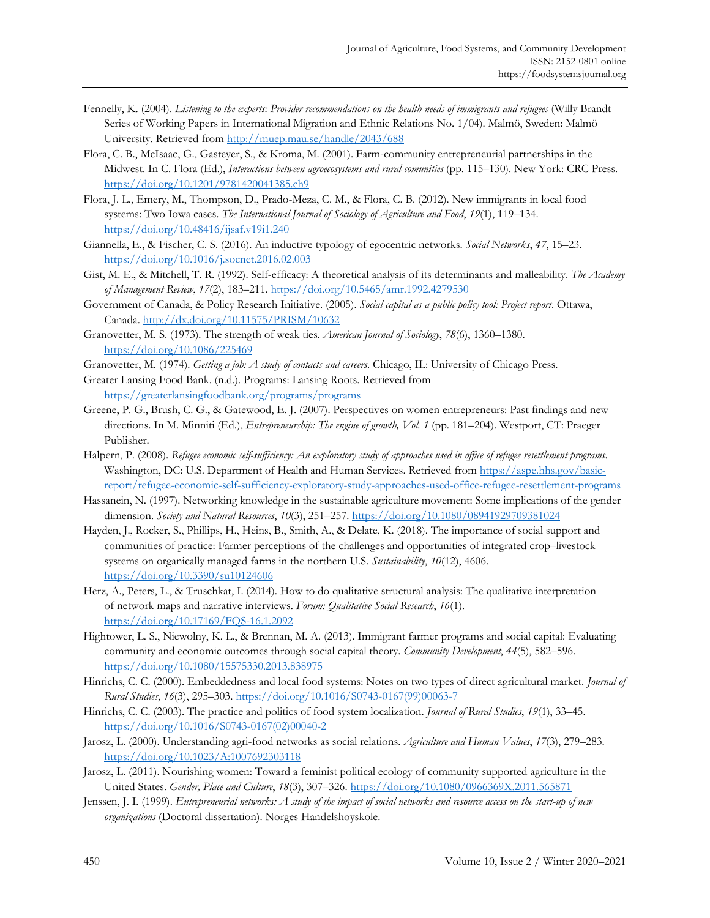- Fennelly, K. (2004). *Listening to the experts: Provider recommendations on the health needs of immigrants and refugees* (Willy Brandt Series of Working Papers in International Migration and Ethnic Relations No. 1/04). Malmö, Sweden: Malmö University. Retrieved from http://muep.mau.se/handle/2043/688
- Flora, C. B., McIsaac, G., Gasteyer, S., & Kroma, M. (2001). Farm-community entrepreneurial partnerships in the Midwest. In C. Flora (Ed.), *Interactions between agroecosystems and rural comunities* (pp. 115–130). New York: CRC Press. https://doi.org/10.1201/9781420041385.ch9
- Flora, J. L., Emery, M., Thompson, D., Prado-Meza, C. M., & Flora, C. B. (2012). New immigrants in local food systems: Two Iowa cases. *Tbe International Journal of Sociology of Agriculture and Food*, *19*(1), 119–134. https://doi.org/10.48416/ijsaf.v19i1.240
- Giannella, E., & Fischer, C. S. (2016). An inductive typology of egocentric networks. *Social Networks*, *47*, 15–23. https://doi.org/10.1016/j.socnet.2016.02.003
- Gist, M. E., & Mitchell, T. R. (1992). Self-efficacy: A theoretical analysis of its determinants and malleability. *The Academy of Management Review*, *17*(2), 183–211. https://doi.org/10.5465/amr.1992.4279530
- Government of Canada, & Policy Research Initiative. (2005). *Social capital as a public policy tool: Project report*. Ottawa, Canada. http://dx.doi.org/10.11575/PRISM/10632
- Granovetter, M. S. (1973). The strength of weak ties. *American Journal of Sociology*, *78*(6), 1360–1380. https://doi.org/10.1086/225469
- Granovetter, M. (1974). *Getting a job: A study of contacts and careers*. Chicago, IL: University of Chicago Press.
- Greater Lansing Food Bank. (n.d.). Programs: Lansing Roots. Retrieved from https://greaterlansingfoodbank.org/programs/programs
- Greene, P. G., Brush, C. G., & Gatewood, E. J. (2007). Perspectives on women entrepreneurs: Past findings and new directions. In M. Minniti (Ed.), *Entrepreneurship: The engine of growth, Vol. 1* (pp. 181–204). Westport, CT: Praeger Publisher.
- Halpern, P. (2008). *Refugee economic self-sufficiency: An exploratory study of approaches used in office of refugee resettlement programs*. Washington, DC: U.S. Department of Health and Human Services. Retrieved from https://aspe.hhs.gov/basic[report/refugee-economic-self-sufficiency-exploratory-study-approaches-used-office-refugee-resettlement-programs](https://aspe.hhs.gov/basic-report/refugee-economic-self-sufficiency-exploratory-study-approaches-used-office-refugee-resettlement-programs)
- Hassanein, N. (1997). Networking knowledge in the sustainable agriculture movement: Some implications of the gender dimension. *Society and Natural Resources*, *10*(3), 251–257. https://doi.org/10.1080/08941929709381024
- Hayden, J., Rocker, S., Phillips, H., Heins, B., Smith, A., & Delate, K. (2018). The importance of social support and communities of practice: Farmer perceptions of the challenges and opportunities of integrated crop–livestock systems on organically managed farms in the northern U.S. *Sustainability*, *10*(12), 4606. https://doi.org/10.3390/su10124606
- Herz, A., Peters, L., & Truschkat, I. (2014). How to do qualitative structural analysis: The qualitative interpretation of network maps and narrative interviews. *Forum: Qualitative Social Research*, *16*(1). https://doi.org/10.17169/FQS-16.1.2092
- Hightower, L. S., Niewolny, K. L., & Brennan, M. A. (2013). Immigrant farmer programs and social capital: Evaluating community and economic outcomes through social capital theory. *Community Development*, *44*(5), 582–596. https://doi.org/10.1080/15575330.2013.838975
- Hinrichs, C. C. (2000). Embeddedness and local food systems: Notes on two types of direct agricultural market. *Journal of Rural Studies*, *16*(3), 295–303. [https://doi.org/10.1016/S0743-0167\(99\)00063-7](https://doi.org/10.1016/S0743-0167(99)00063-7)
- Hinrichs, C. C. (2003). The practice and politics of food system localization. *Journal of Rural Studies*, *19*(1), 33–45. [https://doi.org/10.1016/S0743-0167\(02\)00040-2](https://doi.org/10.1016/S0743-0167(02)00040-2)
- Jarosz, L. (2000). Understanding agri-food networks as social relations. *Agriculture and Human Values*, *17*(3), 279–283. https://doi.org/10.1023/A:1007692303118
- Jarosz, L. (2011). Nourishing women: Toward a feminist political ecology of community supported agriculture in the United States. *Gender, Place and Culture*, *18*(3), 307–326. https://doi.org/10.1080/0966369X.2011.565871
- Jenssen, J. I. (1999). *Entrepreneurial networks: A study of the impact of social networks and resource access on the start-up of new organizations* (Doctoral dissertation). Norges Handelshoyskole.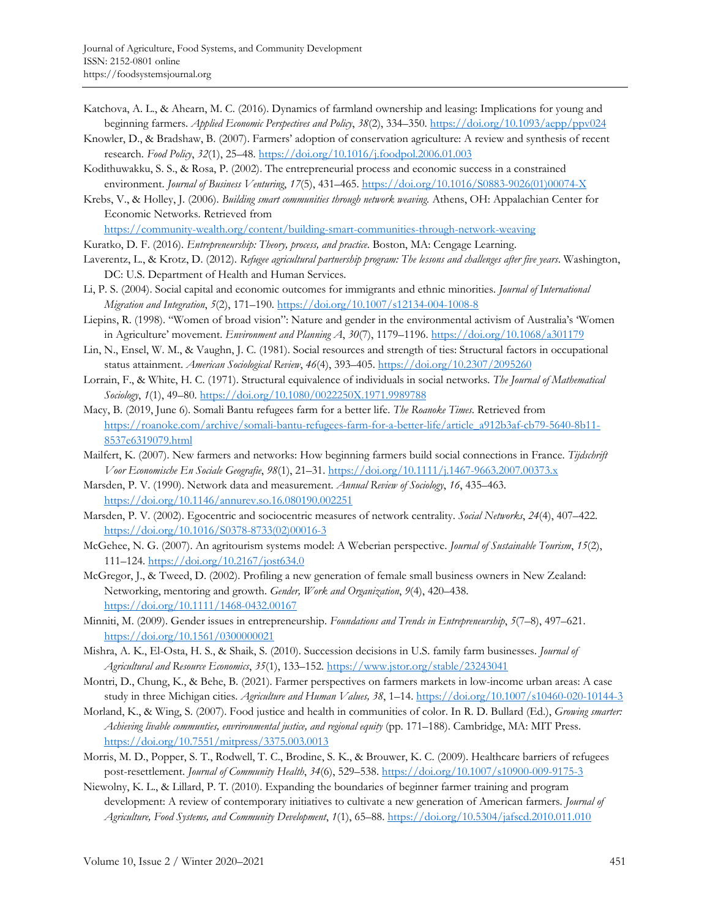- Katchova, A. L., & Ahearn, M. C. (2016). Dynamics of farmland ownership and leasing: Implications for young and beginning farmers. *Applied Economic Perspectives and Policy*, *38*(2), 334–350. https://doi.org/10.1093/aepp/ppv024
- Knowler, D., & Bradshaw, B. (2007). Farmers' adoption of conservation agriculture: A review and synthesis of recent research. *Food Policy*, *32*(1), 25–48. https://doi.org/10.1016/j.foodpol.2006.01.003
- Kodithuwakku, S. S., & Rosa, P. (2002). The entrepreneurial process and economic success in a constrained environment. *Journal of Business Venturing*, *17*(5), 431–465. [https://doi.org/10.1016/S0883-9026\(01\)00074-X](https://doi.org/10.1016/S0883-9026(01)00074-X)
- Krebs, V., & Holley, J. (2006). *Building smart communities through network weaving.* Athens, OH: Appalachian Center for Economic Networks. Retrieved from

https://community-wealth.org/content/building-smart-communities-through-network-weaving

- Kuratko, D. F. (2016). *Entrepreneurship: Theory, process, and practice*. Boston, MA: Cengage Learning.
- Laverentz, L., & Krotz, D. (2012). *Refugee agricultural partnership program: The lessons and challenges after five years*. Washington, DC: U.S. Department of Health and Human Services.
- Li, P. S. (2004). Social capital and economic outcomes for immigrants and ethnic minorities. *Journal of International Migration and Integration*, *5*(2), 171–190. https://doi.org/10.1007/s12134-004-1008-8
- Liepins, R. (1998). "Women of broad vision": Nature and gender in the environmental activism of Australia's 'Women in Agriculture' movement. *Environment and Planning A*, *30*(7), 1179–1196. https://doi.org/10.1068/a301179
- Lin, N., Ensel, W. M., & Vaughn, J. C. (1981). Social resources and strength of ties: Structural factors in occupational status attainment. *American Sociological Review*, *46*(4), 393–405. https://doi.org/10.2307/2095260
- Lorrain, F., & White, H. C. (1971). Structural equivalence of individuals in social networks. *The Journal of Mathematical Sociology*, *1*(1), 49–80. https://doi.org/10.1080/0022250X.1971.9989788
- Macy, B. (2019, June 6). Somali Bantu refugees farm for a better life. *The Roanoke Times*. Retrieved from [https://roanoke.com/archive/somali-bantu-refugees-farm-for-a-better-life/article\\_a912b3af-cb79-5640-8b11-](https://roanoke.com/archive/somali-bantu-refugees-farm-for-a-better-life/article_a912b3af-cb79-5640-8b11-8537e6319079.html) 8537e6319079.html
- Mailfert, K. (2007). New farmers and networks: How beginning farmers build social connections in France. *Tijdschrift Voor Economische En Sociale Geografie*, *98*(1), 21–31. https://doi.org/10.1111/j.1467-9663.2007.00373.x
- Marsden, P. V. (1990). Network data and measurement. *Annual Review of Sociology*, *16*, 435–463. https://doi.org/10.1146/annurev.so.16.080190.002251
- Marsden, P. V. (2002). Egocentric and sociocentric measures of network centrality. *Social Networks*, *24*(4), 407–422. [https://doi.org/10.1016/S0378-8733\(02\)00016-3](https://doi.org/10.1016/S0378-8733(02)00016-3)
- McGehee, N. G. (2007). An agritourism systems model: A Weberian perspective. *Journal of Sustainable Tourism*, *15*(2), 111–124. https://doi.org/10.2167/jost634.0
- McGregor, J., & Tweed, D. (2002). Profiling a new generation of female small business owners in New Zealand: Networking, mentoring and growth. *Gender, Work and Organization*, *9*(4), 420–438. https://doi.org/10.1111/1468-0432.00167
- Minniti, M. (2009). Gender issues in entrepreneurship. *Foundations and Trends in Entrepreneurship*, *5*(7–8), 497–621. https://doi.org/10.1561/0300000021
- Mishra, A. K., El-Osta, H. S., & Shaik, S. (2010). Succession decisions in U.S. family farm businesses. *Journal of Agricultural and Resource Economics*, *35*(1), 133–152. https://www.jstor.org/stable/23243041
- Montri, D., Chung, K., & Behe, B. (2021). Farmer perspectives on farmers markets in low-income urban areas: A case study in three Michigan cities. *Agriculture and Human Values, 38*, 1–14. https://doi.org/10.1007/s10460-020-10144-3
- Morland, K., & Wing, S. (2007). Food justice and health in communities of color. In R. D. Bullard (Ed.), *Growing smarter: Achieving livable communties, envrironmental justice, and regional equity* (pp. 171–188). Cambridge, MA: MIT Press. https://doi.org/10.7551/mitpress/3375.003.0013
- Morris, M. D., Popper, S. T., Rodwell, T. C., Brodine, S. K., & Brouwer, K. C. (2009). Healthcare barriers of refugees post-resettlement. *Journal of Community Health*, *34*(6), 529–538. https://doi.org/10.1007/s10900-009-9175-3
- Niewolny, K. L., & Lillard, P. T. (2010). Expanding the boundaries of beginner farmer training and program development: A review of contemporary initiatives to cultivate a new generation of American farmers. *Journal of Agriculture, Food Systems, and Community Development*, *1*(1), 65–88. https://doi.org/10.5304/jafscd.2010.011.010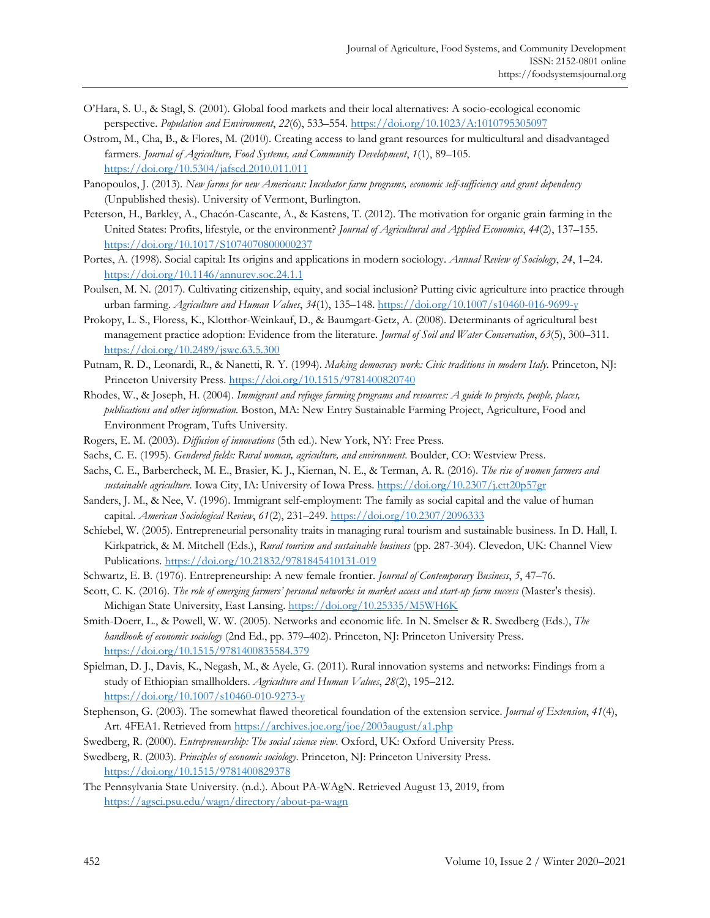- O'Hara, S. U., & Stagl, S. (2001). Global food markets and their local alternatives: A socio-ecological economic perspective. *Population and Environment*, *22*(6), 533–554. https://doi.org/10.1023/A:1010795305097
- Ostrom, M., Cha, B., & Flores, M. (2010). Creating access to land grant resources for multicultural and disadvantaged farmers. *Journal of Agriculture, Food Systems, and Community Development*, *1*(1), 89–105. https://doi.org/10.5304/jafscd.2010.011.011
- Panopoulos, J. (2013). *New farms for new Americans: Incubator farm programs, economic self-sufficiency and grant dependency* (Unpublished thesis). University of Vermont, Burlington.
- Peterson, H., Barkley, A., Chacón-Cascante, A., & Kastens, T. (2012). The motivation for organic grain farming in the United States: Profits, lifestyle, or the environment? *Journal of Agricultural and Applied Economics*, *44*(2), 137–155. https://doi.org/10.1017/S1074070800000237
- Portes, A. (1998). Social capital: Its origins and applications in modern sociology. *Annual Review of Sociology*, *24*, 1–24. https://doi.org/10.1146/annurev.soc.24.1.1
- Poulsen, M. N. (2017). Cultivating citizenship, equity, and social inclusion? Putting civic agriculture into practice through urban farming. *Agriculture and Human Values*, *34*(1), 135–148. https://doi.org/10.1007/s10460-016-9699-y
- Prokopy, L. S., Floress, K., Klotthor-Weinkauf, D., & Baumgart-Getz, A. (2008). Determinants of agricultural best management practice adoption: Evidence from the literature. *Journal of Soil and Water Conservation*, *63*(5), 300–311. https://doi.org/10.2489/jswc.63.5.300
- Putnam, R. D., Leonardi, R., & Nanetti, R. Y. (1994). *Making democracy work: Civic traditions in modern Italy*. Princeton, NJ: Princeton University Press. https://doi.org/10.1515/9781400820740
- Rhodes, W., & Joseph, H. (2004). *Immigrant and refugee farming programs and resources: A guide to projects, people, places, publications and other information.* Boston, MA: New Entry Sustainable Farming Project, Agriculture, Food and Environment Program, Tufts University.
- Rogers, E. M. (2003). *Diffusion of innovations* (5th ed.). New York, NY: Free Press.
- Sachs, C. E. (1995). *Gendered fields: Rural woman, agriculture, and environment*. Boulder, CO: Westview Press.
- Sachs, C. E., Barbercheck, M. E., Brasier, K. J., Kiernan, N. E., & Terman, A. R. (2016). *The rise of women farmers and sustainable agriculture*. Iowa City, IA: University of Iowa Press. https://doi.org/10.2307/j.ctt20p57gr
- Sanders, J. M., & Nee, V. (1996). Immigrant self-employment: The family as social capital and the value of human capital. *American Sociological Review*, *61*(2), 231–249. https://doi.org/10.2307/2096333
- Schiebel, W. (2005). Entrepreneurial personality traits in managing rural tourism and sustainable business. In D. Hall, I. Kirkpatrick, & M. Mitchell (Eds.), *Rural tourism and sustainable business* (pp. 287-304). Clevedon, UK: Channel View Publications. https://doi.org/10.21832/9781845410131-019
- Schwartz, E. B. (1976). Entrepreneurship: A new female frontier. *Journal of Contemporary Business*, *5*, 47–76.
- Scott, C. K. (2016). *The role of emerging farmers' personal networks in market access and start-up farm success* (Master's thesis). Michigan State University, East Lansing. https://doi.org/10.25335/M5WH6K
- Smith-Doerr, L., & Powell, W. W. (2005). Networks and economic life. In N. Smelser & R. Swedberg (Eds.), *The handbook of economic sociology* (2nd Ed., pp. 379–402). Princeton, NJ: Princeton University Press. https://doi.org/10.1515/9781400835584.379
- Spielman, D. J., Davis, K., Negash, M., & Ayele, G. (2011). Rural innovation systems and networks: Findings from a study of Ethiopian smallholders. *Agriculture and Human Values*, *28*(2), 195–212. https://doi.org/10.1007/s10460-010-9273-y
- Stephenson, G. (2003). The somewhat flawed theoretical foundation of the extension service. *Journal of Extension*, *41*(4), Art. 4FEA1. Retrieved from https://archives.joe.org/joe/2003august/a1.php

Swedberg, R. (2000). *Entrepreneurship: The social science view*. Oxford, UK: Oxford University Press.

- Swedberg, R. (2003). *Principles of economic sociology*. Princeton, NJ: Princeton University Press. https://doi.org/10.1515/9781400829378
- The Pennsylvania State University. (n.d.). About PA-WAgN. Retrieved August 13, 2019, from https://agsci.psu.edu/wagn/directory/about-pa-wagn